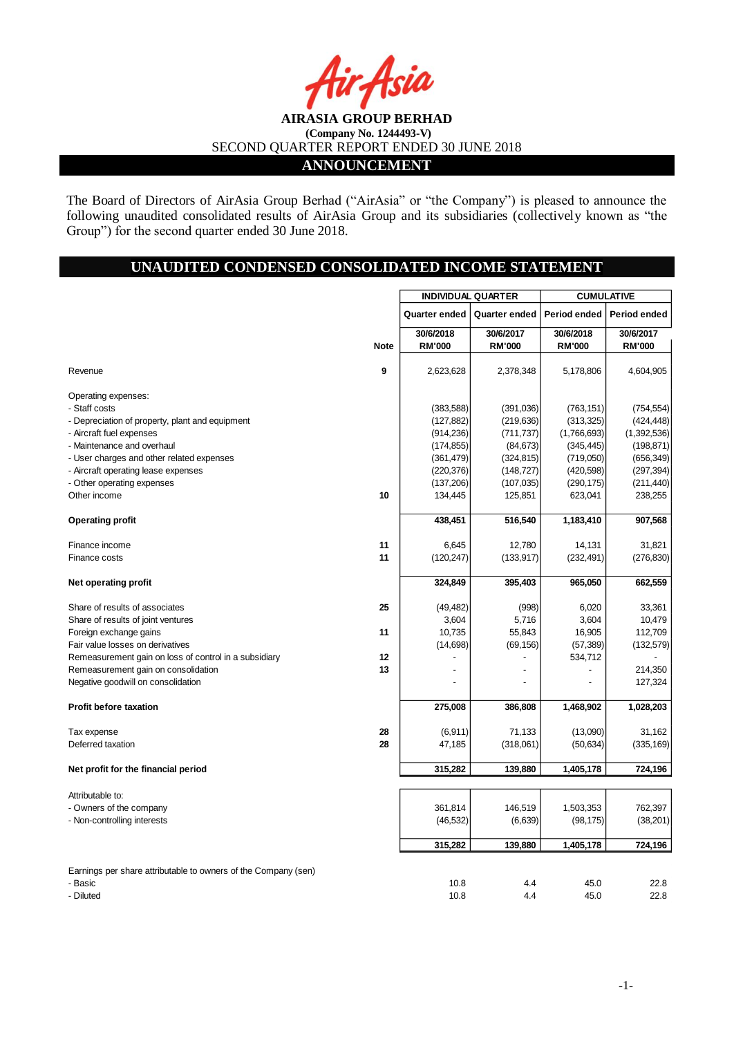**ANNOUNCEMENT**

The Board of Directors of AirAsia Group Berhad ("AirAsia" or "the Company") is pleased to announce the following unaudited consolidated results of AirAsia Group and its subsidiaries (collectively known as "the Group") for the second quarter ended 30 June 2018.

## **UNAUDITED CONDENSED CONSOLIDATED INCOME STATEMENT**

|                                                                |             | <b>INDIVIDUAL QUARTER</b>  |                            | <b>CUMULATIVE</b>          |                            |  |
|----------------------------------------------------------------|-------------|----------------------------|----------------------------|----------------------------|----------------------------|--|
|                                                                |             | Quarter ended              | Quarter ended              | Period ended               | Period ended               |  |
|                                                                | <b>Note</b> | 30/6/2018<br><b>RM'000</b> | 30/6/2017<br><b>RM'000</b> | 30/6/2018<br><b>RM'000</b> | 30/6/2017<br><b>RM'000</b> |  |
| Revenue                                                        | 9           | 2,623,628                  | 2,378,348                  | 5,178,806                  | 4,604,905                  |  |
| Operating expenses:                                            |             |                            |                            |                            |                            |  |
| - Staff costs                                                  |             | (383, 588)                 | (391,036)                  | (763, 151)                 | (754, 554)                 |  |
| - Depreciation of property, plant and equipment                |             | (127, 882)                 | (219, 636)                 | (313, 325)                 | (424, 448)                 |  |
| - Aircraft fuel expenses                                       |             | (914, 236)                 | (711, 737)                 | (1,766,693)                | (1,392,536)                |  |
| - Maintenance and overhaul                                     |             | (174, 855)                 | (84, 673)                  | (345, 445)                 | (198, 871)                 |  |
| - User charges and other related expenses                      |             | (361, 479)                 | (324, 815)                 | (719,050)                  | (656, 349)                 |  |
| - Aircraft operating lease expenses                            |             | (220, 376)                 | (148, 727)                 | (420, 598)                 | (297, 394)                 |  |
| - Other operating expenses                                     |             | (137, 206)                 | (107, 035)                 | (290, 175)                 | (211, 440)                 |  |
| Other income                                                   | 10          | 134,445                    | 125,851                    | 623,041                    | 238,255                    |  |
| <b>Operating profit</b>                                        |             | 438,451                    | 516,540                    | 1,183,410                  | 907,568                    |  |
| Finance income                                                 | 11          | 6,645                      | 12,780                     | 14,131                     | 31,821                     |  |
| Finance costs                                                  | 11          | (120, 247)                 | (133, 917)                 | (232, 491)                 | (276, 830)                 |  |
| Net operating profit                                           |             | 324,849                    | 395,403                    | 965,050                    | 662,559                    |  |
| Share of results of associates                                 | 25          | (49, 482)                  | (998)                      | 6,020                      | 33,361                     |  |
| Share of results of joint ventures                             |             | 3,604                      | 5,716                      | 3,604                      | 10,479                     |  |
| Foreign exchange gains                                         | 11          | 10,735                     | 55,843                     | 16,905                     | 112,709                    |  |
| Fair value losses on derivatives                               |             | (14, 698)                  | (69, 156)                  | (57, 389)                  | (132, 579)                 |  |
| Remeasurement gain on loss of control in a subsidiary          | 12          |                            |                            | 534,712                    |                            |  |
| Remeasurement gain on consolidation                            | 13          |                            |                            |                            | 214,350                    |  |
| Negative goodwill on consolidation                             |             |                            |                            |                            | 127,324                    |  |
| <b>Profit before taxation</b>                                  |             | 275,008                    | 386,808                    | 1,468,902                  | 1,028,203                  |  |
| Tax expense                                                    | 28          | (6, 911)                   | 71,133                     | (13,090)                   | 31,162                     |  |
| Deferred taxation                                              | 28          | 47,185                     | (318,061)                  | (50, 634)                  | (335, 169)                 |  |
| Net profit for the financial period                            |             | 315,282                    | 139,880                    | 1,405,178                  | 724,196                    |  |
| Attributable to:                                               |             |                            |                            |                            |                            |  |
| - Owners of the company                                        |             | 361,814                    | 146,519                    | 1,503,353                  | 762,397                    |  |
| - Non-controlling interests                                    |             | (46, 532)                  | (6,639)                    | (98, 175)                  | (38, 201)                  |  |
|                                                                |             | 315,282                    | 139,880                    | 1,405,178                  | 724,196                    |  |
| Earnings per share attributable to owners of the Company (sen) |             |                            |                            |                            |                            |  |
| - Basic                                                        |             | 10.8                       | 4.4                        | 45.0                       | 22.8                       |  |
| - Diluted                                                      |             | 10.8                       | 44                         | 45.0                       | 22.8                       |  |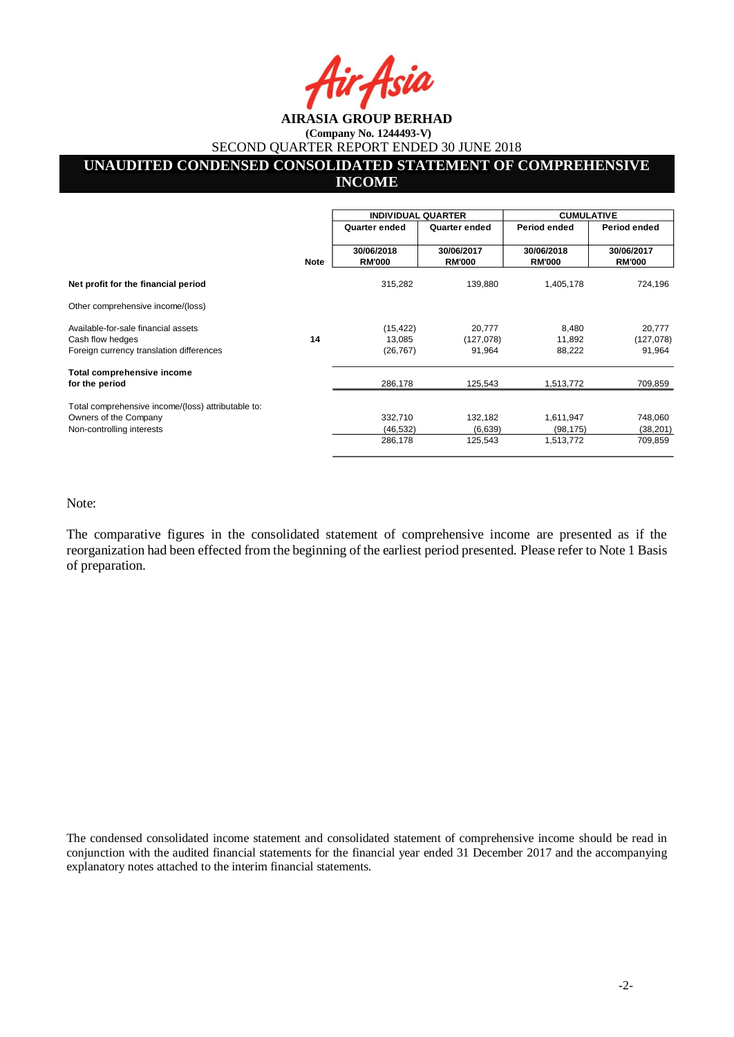# **AIRASIA GROUP BERHAD (Company No. 1244493-V)**

SECOND QUARTER REPORT ENDED 30 JUNE 2018

# **UNAUDITED CONDENSED CONSOLIDATED STATEMENT OF COMPREHENSIVE**

**INCOME** 

|                                                    |             | <b>INDIVIDUAL QUARTER</b>   |                             | <b>CUMULATIVE</b>           |                             |  |
|----------------------------------------------------|-------------|-----------------------------|-----------------------------|-----------------------------|-----------------------------|--|
|                                                    |             | Quarter ended               | Quarter ended               | Period ended                | Period ended                |  |
|                                                    | <b>Note</b> | 30/06/2018<br><b>RM'000</b> | 30/06/2017<br><b>RM'000</b> | 30/06/2018<br><b>RM'000</b> | 30/06/2017<br><b>RM'000</b> |  |
| Net profit for the financial period                |             | 315,282                     | 139,880                     | 1,405,178                   | 724,196                     |  |
| Other comprehensive income/(loss)                  |             |                             |                             |                             |                             |  |
| Available-for-sale financial assets                |             | (15, 422)                   | 20,777                      | 8,480                       | 20,777                      |  |
| Cash flow hedges                                   | 14          | 13,085                      | (127,078)                   | 11,892                      | (127,078)                   |  |
| Foreign currency translation differences           |             | (26, 767)                   | 91,964                      | 88,222                      | 91,964                      |  |
| Total comprehensive income                         |             |                             |                             |                             |                             |  |
| for the period                                     |             | 286,178                     | 125,543                     | 1,513,772                   | 709,859                     |  |
| Total comprehensive income/(loss) attributable to: |             |                             |                             |                             |                             |  |
| Owners of the Company                              |             | 332,710                     | 132,182                     | 1,611,947                   | 748,060                     |  |
| Non-controlling interests                          |             | (46, 532)                   | (6,639)                     | (98, 175)                   | (38, 201)                   |  |
|                                                    |             | 286,178                     | 125,543                     | 1,513,772                   | 709,859                     |  |

Note:

The comparative figures in the consolidated statement of comprehensive income are presented as if the reorganization had been effected from the beginning of the earliest period presented. Please refer to Note 1 Basis of preparation.

The condensed consolidated income statement and consolidated statement of comprehensive income should be read in conjunction with the audited financial statements for the financial year ended 31 December 2017 and the accompanying explanatory notes attached to the interim financial statements.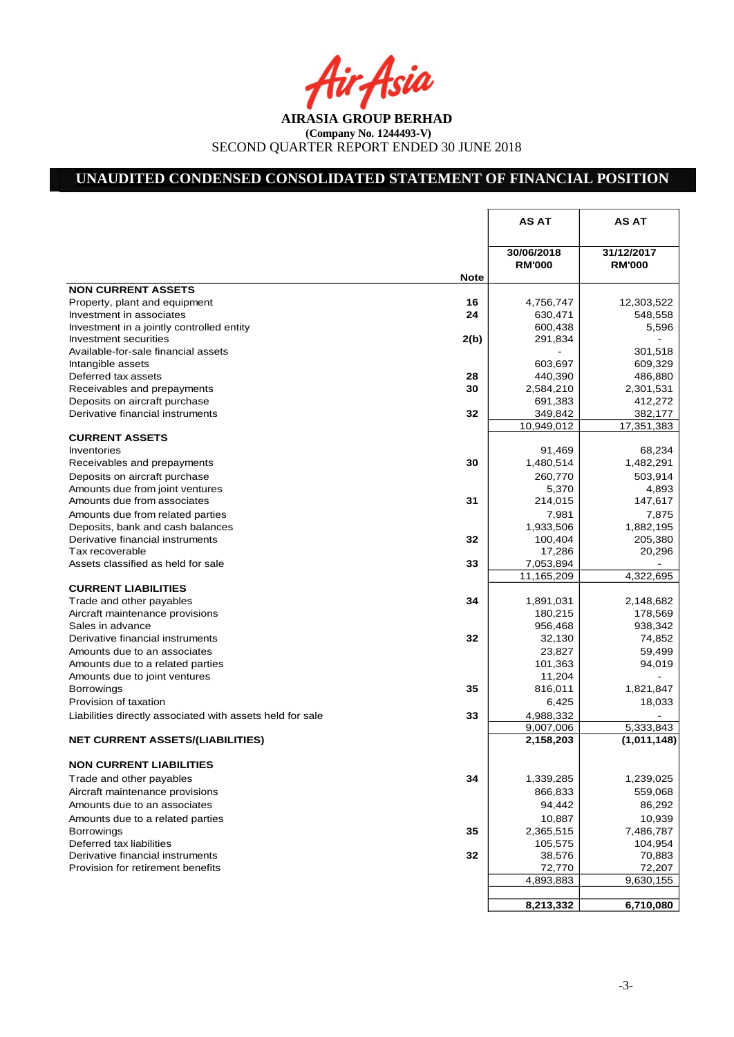Asia

# **UNAUDITED CONDENSED CONSOLIDATED STATEMENT OF FINANCIAL POSITION**

|                                                                       |             | <b>AS AT</b>                | <b>AS AT</b>                |
|-----------------------------------------------------------------------|-------------|-----------------------------|-----------------------------|
|                                                                       |             | 30/06/2018<br><b>RM'000</b> | 31/12/2017<br><b>RM'000</b> |
| <b>NON CURRENT ASSETS</b>                                             | <b>Note</b> |                             |                             |
| Property, plant and equipment                                         | 16          | 4,756,747                   | 12,303,522                  |
| Investment in associates                                              | 24          | 630,471                     | 548,558                     |
| Investment in a jointly controlled entity                             |             | 600,438                     | 5,596                       |
| Investment securities                                                 | 2(b)        | 291,834                     |                             |
| Available-for-sale financial assets                                   |             |                             | 301,518                     |
| Intangible assets                                                     |             | 603,697                     | 609,329                     |
| Deferred tax assets                                                   | 28          | 440,390                     | 486,880                     |
| Receivables and prepayments                                           | 30          | 2,584,210                   | 2,301,531                   |
| Deposits on aircraft purchase                                         |             | 691,383                     | 412,272                     |
| Derivative financial instruments                                      | 32          | 349,842                     | 382,177                     |
|                                                                       |             | 10,949,012                  | 17,351,383                  |
| <b>CURRENT ASSETS</b>                                                 |             |                             |                             |
| Inventories                                                           |             | 91,469                      | 68,234                      |
| Receivables and prepayments                                           | 30          | 1,480,514                   | 1,482,291                   |
| Deposits on aircraft purchase                                         |             | 260,770                     | 503,914                     |
| Amounts due from joint ventures                                       |             | 5,370                       | 4,893                       |
| Amounts due from associates                                           | 31          | 214,015                     | 147,617                     |
| Amounts due from related parties                                      |             | 7,981                       | 7,875                       |
| Deposits, bank and cash balances                                      |             | 1,933,506                   | 1,882,195                   |
| Derivative financial instruments                                      | 32          | 100,404                     | 205,380                     |
| Tax recoverable                                                       |             | 17,286                      | 20,296                      |
| Assets classified as held for sale                                    | 33          | 7,053,894                   |                             |
|                                                                       |             | 11,165,209                  | $\overline{4}$ , 322, 695   |
| <b>CURRENT LIABILITIES</b>                                            |             |                             |                             |
| Trade and other payables                                              | 34          | 1,891,031                   | 2,148,682                   |
| Aircraft maintenance provisions                                       |             | 180,215                     | 178,569                     |
| Sales in advance                                                      |             | 956,468                     | 938,342                     |
| Derivative financial instruments                                      | 32          | 32,130                      | 74,852                      |
| Amounts due to an associates                                          |             | 23,827                      | 59,499                      |
| Amounts due to a related parties                                      |             | 101,363                     | 94,019                      |
| Amounts due to joint ventures                                         |             | 11,204                      |                             |
| Borrowings                                                            | 35          | 816,011                     | 1,821,847                   |
| Provision of taxation                                                 |             | 6,425                       | 18,033                      |
| Liabilities directly associated with assets held for sale             | 33          | 4,988,332                   |                             |
|                                                                       |             | 9,007,006                   | 5,333,843                   |
| <b>NET CURRENT ASSETS/(LIABILITIES)</b>                               |             | 2,158,203                   | (1,011,148)                 |
| <b>NON CURRENT LIABILITIES</b>                                        |             |                             |                             |
| Trade and other payables                                              | 34          | 1,339,285                   | 1,239,025                   |
| Aircraft maintenance provisions                                       |             | 866,833                     | 559,068                     |
|                                                                       |             |                             |                             |
| Amounts due to an associates                                          |             | 94,442                      | 86,292                      |
| Amounts due to a related parties                                      |             | 10,887                      | 10,939                      |
| Borrowings                                                            | 35          | 2,365,515                   | 7,486,787                   |
| Deferred tax liabilities                                              | 32          | 105,575                     | 104,954                     |
| Derivative financial instruments<br>Provision for retirement benefits |             | 38,576                      | 70,883                      |
|                                                                       |             | 72,770                      | 72,207                      |
|                                                                       |             | 4,893,883                   | 9,630,155                   |
|                                                                       |             | 8,213,332                   | 6,710,080                   |
|                                                                       |             |                             |                             |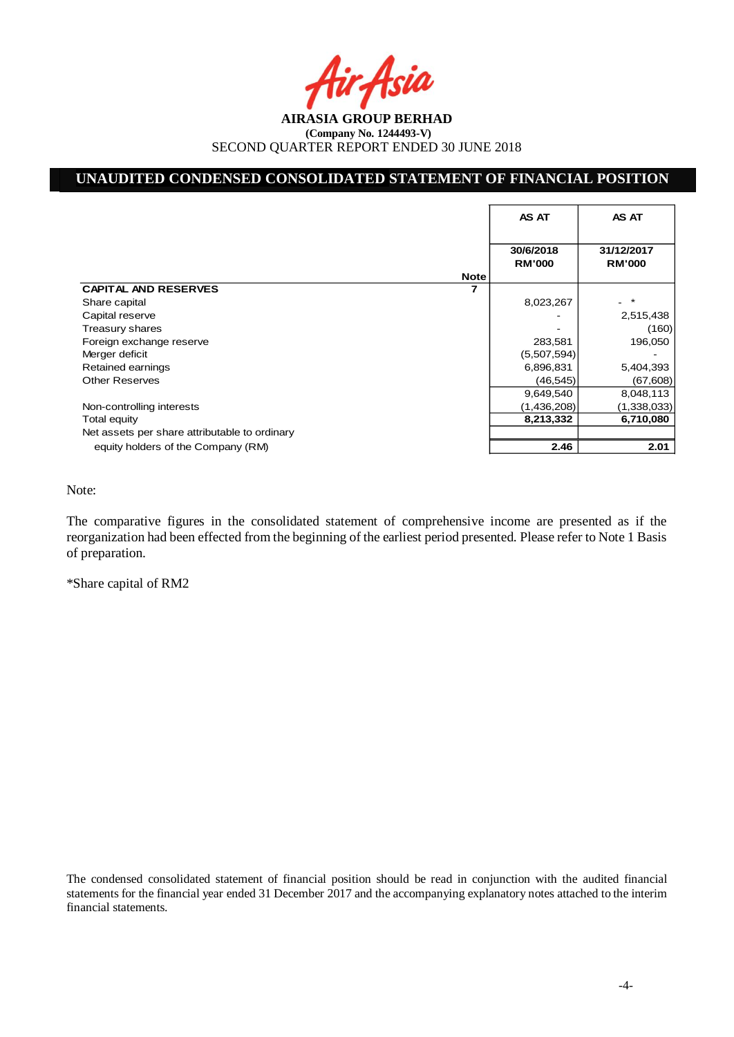## **UNAUDITED CONDENSED CONSOLIDATED STATEMENT OF FINANCIAL POSITION**

|                                               | AS AT                      | AS AT                       |
|-----------------------------------------------|----------------------------|-----------------------------|
|                                               | 30/6/2018<br><b>RM'000</b> | 31/12/2017<br><b>RM'000</b> |
| <b>Note</b>                                   |                            |                             |
| <b>CAPITAL AND RESERVES</b>                   |                            |                             |
| Share capital                                 | 8,023,267                  |                             |
| Capital reserve                               |                            | 2,515,438                   |
| Treasury shares                               |                            | (160)                       |
| Foreign exchange reserve                      | 283,581                    | 196,050                     |
| Merger deficit                                | (5,507,594)                |                             |
| Retained earnings                             | 6,896,831                  | 5,404,393                   |
| <b>Other Reserves</b>                         | (46, 545)                  | (67, 608)                   |
|                                               | 9,649,540                  | 8,048,113                   |
| Non-controlling interests                     | (1,436,208)                | (1,338,033)                 |
| Total equity                                  | 8,213,332                  | 6,710,080                   |
| Net assets per share attributable to ordinary |                            |                             |
| equity holders of the Company (RM)            | 2.46                       | 2.01                        |

Note:

The comparative figures in the consolidated statement of comprehensive income are presented as if the reorganization had been effected from the beginning of the earliest period presented. Please refer to Note 1 Basis of preparation.

\*Share capital of RM2

The condensed consolidated statement of financial position should be read in conjunction with the audited financial statements for the financial year ended 31 December 2017 and the accompanying explanatory notes attached to the interim financial statements.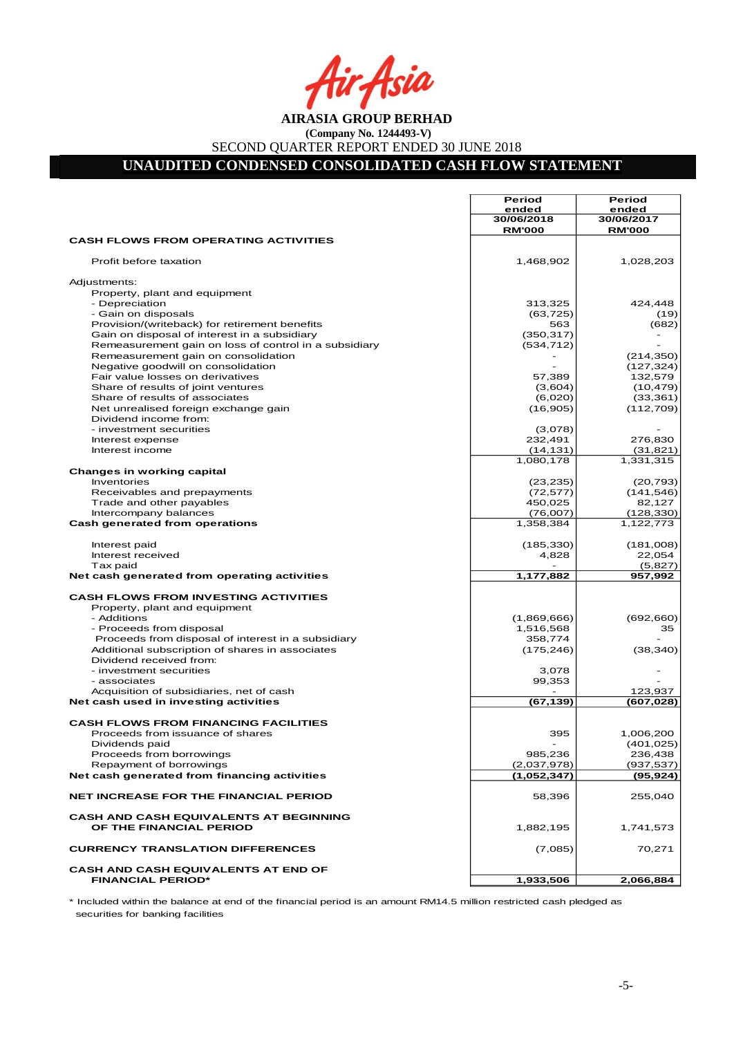Asia

# **UNAUDITED CONDENSED CONSOLIDATED CASH FLOW STATEMENT**

|                                                                            | Period<br>ended             | <b>Period</b><br>ended      |
|----------------------------------------------------------------------------|-----------------------------|-----------------------------|
|                                                                            | 30/06/2018<br><b>RM'000</b> | 30/06/2017<br><b>RM'000</b> |
| <b>CASH FLOWS FROM OPERATING ACTIVITIES</b>                                |                             |                             |
| Profit before taxation                                                     | 1,468,902                   | 1,028,203                   |
| Adjustments:                                                               |                             |                             |
| Property, plant and equipment                                              |                             |                             |
| - Depreciation<br>- Gain on disposals                                      | 313,325<br>(63, 725)        | 424,448<br>(19)             |
| Provision/(writeback) for retirement benefits                              | 563                         | (682)                       |
| Gain on disposal of interest in a subsidiary                               | (350, 317)                  |                             |
| Remeasurement gain on loss of control in a subsidiary                      | (534, 712)                  |                             |
| Remeasurement gain on consolidation                                        |                             | (214, 350)                  |
| Negative goodwill on consolidation<br>Fair value losses on derivatives     | 57,389                      | (127, 324)<br>132,579       |
| Share of results of joint ventures                                         | (3,604)                     | (10, 479)                   |
| Share of results of associates                                             | (6,020)                     | (33, 361)                   |
| Net unrealised foreign exchange gain                                       | (16, 905)                   | (112, 709)                  |
| Dividend income from:                                                      |                             |                             |
| - investment securities                                                    | (3,078)                     |                             |
| Interest expense<br>Interest income                                        | 232,491<br>(14, 131)        | 276,830<br>(31, 821)        |
|                                                                            | 1,080,178                   | 1,331,315                   |
| <b>Changes in working capital</b>                                          |                             |                             |
| Inventories                                                                | (23, 235)                   | (20, 793)                   |
| Receivables and prepayments                                                | (72, 577)                   | (141, 546)                  |
| Trade and other payables                                                   | 450,025                     | 82,127                      |
| Intercompany balances                                                      | (76,007)                    | (128, 330)                  |
| Cash generated from operations                                             | 1,358,384                   | 1,122,773                   |
| Interest paid                                                              | (185, 330)                  | (181,008)                   |
| Interest received                                                          | 4,828                       | 22,054                      |
| Tax paid<br>Net cash generated from operating activities                   | 1,177,882                   | (5,827)<br>957,992          |
| <b>CASH FLOWS FROM INVESTING ACTIVITIES</b>                                |                             |                             |
| Property, plant and equipment                                              |                             |                             |
| - Additions                                                                | (1,869,666)                 | (692, 660)                  |
| - Proceeds from disposal                                                   | 1,516,568                   | 35                          |
| Proceeds from disposal of interest in a subsidiary                         | 358,774                     |                             |
| Additional subscription of shares in associates<br>Dividend received from: | (175, 246)                  | (38, 340)                   |
| - investment securities                                                    | 3,078                       |                             |
| - associates                                                               | 99,353                      |                             |
| Acquisition of subsidiaries, net of cash                                   |                             | 123,937                     |
| Net cash used in investing activities                                      | (67,139)                    | (607, 028)                  |
| <b>CASH FLOWS FROM FINANCING FACILITIES</b>                                |                             |                             |
| Proceeds from issuance of shares                                           | 395                         | 1,006,200                   |
| Dividends paid                                                             |                             | (401, 025)                  |
| Proceeds from borrowings                                                   | 985,236                     | 236,438                     |
| Repayment of borrowings<br>Net cash generated from financing activities    | (2,037,978)<br>(1,052,347)  | (937, 537)<br>(95, 924)     |
|                                                                            |                             |                             |
| <b>NET INCREASE FOR THE FINANCIAL PERIOD</b>                               | 58,396                      | 255,040                     |
| <b>CASH AND CASH EQUIVALENTS AT BEGINNING</b><br>OF THE FINANCIAL PERIOD   | 1,882,195                   | 1,741,573                   |
| <b>CURRENCY TRANSLATION DIFFERENCES</b>                                    | (7,085)                     | 70,271                      |
| <b>CASH AND CASH EQUIVALENTS AT END OF</b>                                 |                             |                             |
| <b>FINANCIAL PERIOD*</b>                                                   | 1,933,506                   | 2,066,884                   |

\* Included within the balance at end of the financial period is an amount RM14.5 million restricted cash pledged as securities for banking facilities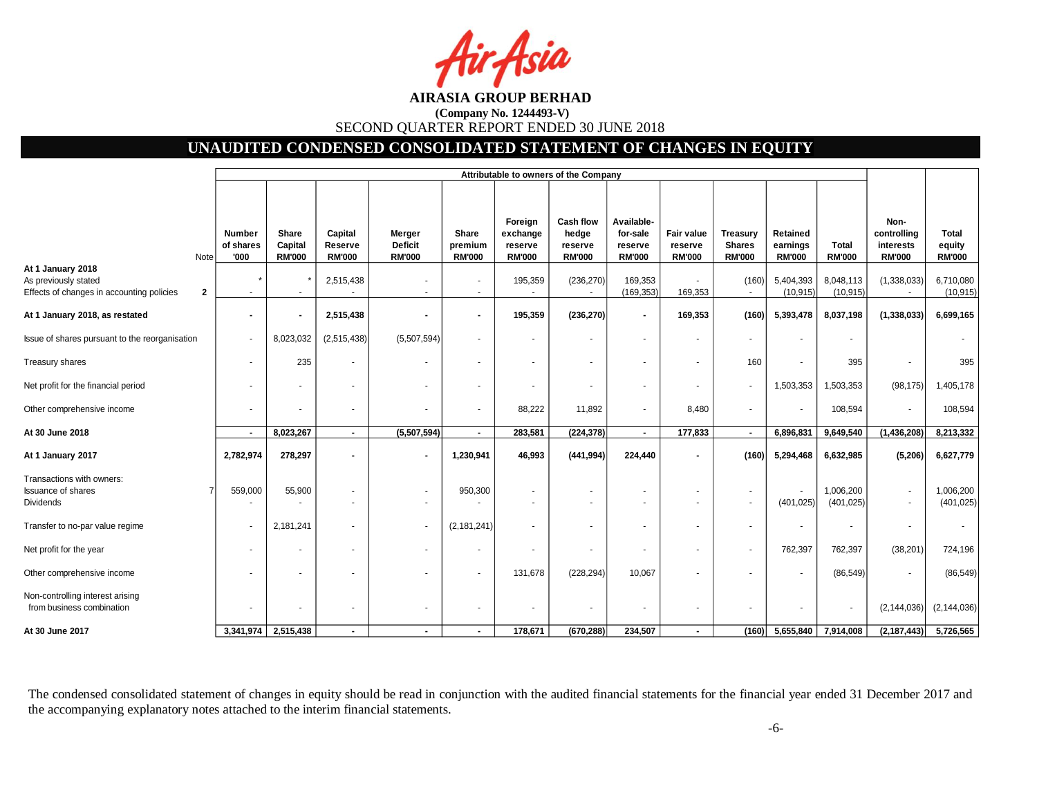## **UNAUDITED CONDENSED CONSOLIDATED STATEMENT OF CHANGES IN EQUITY**

|                                                                                             |                                    | Attributable to owners of the Company    |                                     |                                           |                                   |                                                 |                                                       |                                                    |                                        |                                                   |                                       |                               |                                                   |                                  |
|---------------------------------------------------------------------------------------------|------------------------------------|------------------------------------------|-------------------------------------|-------------------------------------------|-----------------------------------|-------------------------------------------------|-------------------------------------------------------|----------------------------------------------------|----------------------------------------|---------------------------------------------------|---------------------------------------|-------------------------------|---------------------------------------------------|----------------------------------|
| Note                                                                                        | <b>Number</b><br>of shares<br>'000 | <b>Share</b><br>Capital<br><b>RM'000</b> | Capital<br>Reserve<br><b>RM'000</b> | Merger<br><b>Deficit</b><br><b>RM'000</b> | Share<br>premium<br><b>RM'000</b> | Foreign<br>exchange<br>reserve<br><b>RM'000</b> | <b>Cash flow</b><br>hedge<br>reserve<br><b>RM'000</b> | Available-<br>for-sale<br>reserve<br><b>RM'000</b> | Fair value<br>reserve<br><b>RM'000</b> | <b>Treasury</b><br><b>Shares</b><br><b>RM'000</b> | Retained<br>earnings<br><b>RM'000</b> | <b>Total</b><br><b>RM'000</b> | Non-<br>controlling<br>interests<br><b>RM'000</b> | Total<br>equity<br><b>RM'000</b> |
| At 1 January 2018<br>As previously stated<br>Effects of changes in accounting policies<br>2 |                                    |                                          | 2,515,438                           |                                           |                                   | 195,359                                         | (236, 270)                                            | 169,353<br>(169, 353)                              | 169,353                                | (160)                                             | 5,404,393<br>(10, 915)                | 8,048,113<br>(10, 915)        | (1,338,033)                                       | 6,710,080<br>(10, 915)           |
| At 1 January 2018, as restated                                                              | $\blacksquare$                     | $\blacksquare$                           | 2,515,438                           | ٠                                         |                                   | 195,359                                         | (236, 270)                                            | $\blacksquare$                                     | 169,353                                | (160)                                             | 5,393,478                             | 8,037,198                     | (1, 338, 033)                                     | 6,699,165                        |
| Issue of shares pursuant to the reorganisation                                              |                                    | 8,023,032                                | (2,515,438)                         | (5,507,594)                               |                                   |                                                 | $\blacksquare$                                        |                                                    |                                        |                                                   |                                       |                               |                                                   |                                  |
| Treasury shares                                                                             | $\blacksquare$                     | 235                                      |                                     |                                           |                                   |                                                 | $\blacksquare$                                        |                                                    |                                        | 160                                               |                                       | 395                           | $\blacksquare$                                    | 395                              |
| Net profit for the financial period                                                         |                                    |                                          |                                     | ٠                                         |                                   |                                                 | $\blacksquare$                                        |                                                    | $\sim$                                 |                                                   | 1,503,353                             | 1,503,353                     | (98, 175)                                         | 1,405,178                        |
| Other comprehensive income                                                                  |                                    |                                          |                                     | $\overline{\phantom{a}}$                  |                                   | 88,222                                          | 11,892                                                | $\overline{\phantom{a}}$                           | 8,480                                  | $\blacksquare$                                    |                                       | 108,594                       | $\sim$                                            | 108,594                          |
| At 30 June 2018                                                                             | $\blacksquare$                     | 8,023,267                                | $\blacksquare$                      | (5,507,594)                               | $\sim$                            | 283,581                                         | (224, 378)                                            | $\blacksquare$                                     | 177,833                                | $\blacksquare$                                    | 6,896,831                             | 9,649,540                     | (1,436,208)                                       | 8,213,332                        |
| At 1 January 2017                                                                           | 2,782,974                          | 278,297                                  |                                     | $\blacksquare$                            | 1,230,941                         | 46,993                                          | (441, 994)                                            | 224,440                                            |                                        | (160)                                             | 5,294,468                             | 6,632,985                     | (5, 206)                                          | 6,627,779                        |
| Transactions with owners:<br><b>Issuance of shares</b><br><b>Dividends</b>                  | 559,000                            | 55,900                                   |                                     | $\sim$                                    | 950,300                           |                                                 | $\blacksquare$<br>$\blacksquare$                      |                                                    |                                        |                                                   | (401, 025)                            | 1,006,200<br>(401, 025)       | $\blacksquare$<br>$\overline{\phantom{a}}$        | 1,006,200<br>(401, 025)          |
| Transfer to no-par value regime                                                             |                                    | 2,181,241                                |                                     | $\blacksquare$                            | (2, 181, 241)                     |                                                 | $\blacksquare$                                        |                                                    |                                        |                                                   |                                       |                               | $\blacksquare$                                    |                                  |
| Net profit for the year                                                                     |                                    |                                          |                                     | ٠                                         |                                   |                                                 | $\blacksquare$                                        |                                                    |                                        |                                                   | 762,397                               | 762,397                       | (38, 201)                                         | 724,196                          |
| Other comprehensive income                                                                  |                                    |                                          |                                     | ٠                                         |                                   | 131,678                                         | (228, 294)                                            | 10,067                                             |                                        |                                                   |                                       | (86, 549)                     | $\blacksquare$                                    | (86, 549)                        |
| Non-controlling interest arising<br>from business combination                               |                                    |                                          |                                     | $\blacksquare$                            |                                   |                                                 | $\blacksquare$                                        |                                                    |                                        |                                                   |                                       |                               | (2, 144, 036)                                     | (2, 144, 036)                    |
| At 30 June 2017                                                                             | 3,341,974                          | 2,515,438                                | $\blacksquare$                      | ۰.                                        |                                   | 178,671                                         | (670, 288)                                            | 234,507                                            |                                        | (160)                                             | 5,655,840                             | 7,914,008                     | (2, 187, 443)                                     | 5,726,565                        |

The condensed consolidated statement of changes in equity should be read in conjunction with the audited financial statements for the financial year ended 31 December 2017 and the accompanying explanatory notes attached to the interim financial statements.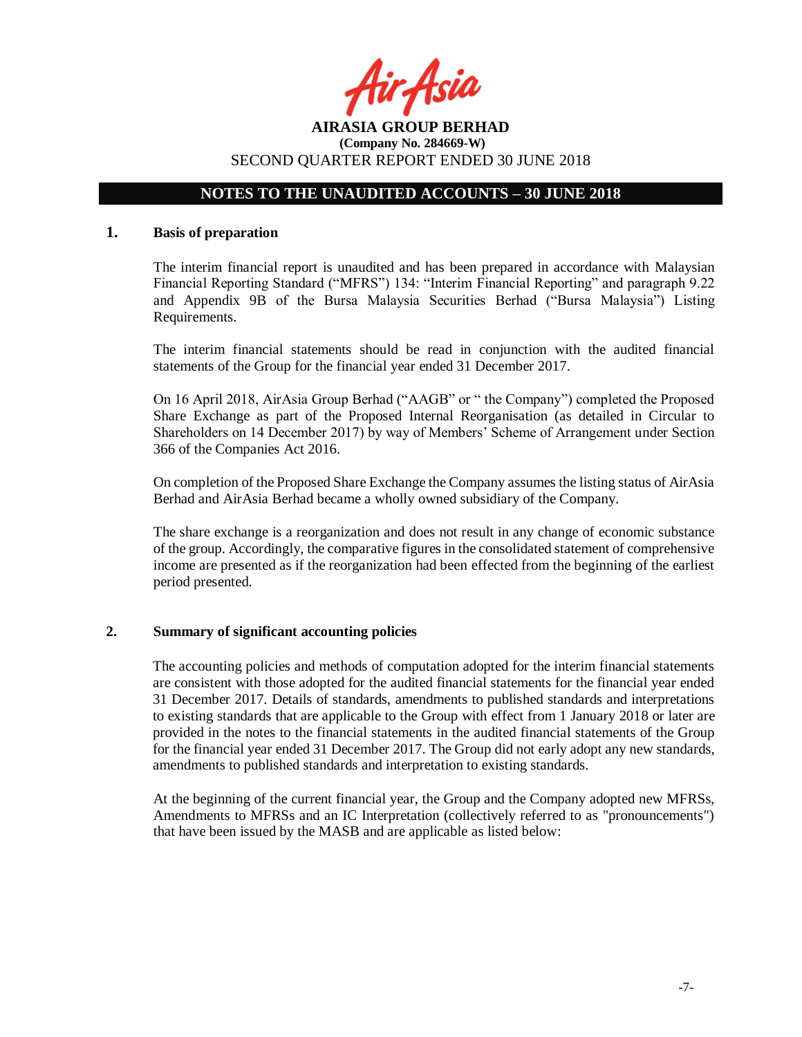

## **NOTES TO THE UNAUDITED ACCOUNTS – 30 JUNE 2018**

#### **1. Basis of preparation**

The interim financial report is unaudited and has been prepared in accordance with Malaysian Financial Reporting Standard ("MFRS") 134: "Interim Financial Reporting" and paragraph 9.22 and Appendix 9B of the Bursa Malaysia Securities Berhad ("Bursa Malaysia") Listing Requirements.

The interim financial statements should be read in conjunction with the audited financial statements of the Group for the financial year ended 31 December 2017.

On 16 April 2018, AirAsia Group Berhad ("AAGB" or " the Company") completed the Proposed Share Exchange as part of the Proposed Internal Reorganisation (as detailed in Circular to Shareholders on 14 December 2017) by way of Members' Scheme of Arrangement under Section 366 of the Companies Act 2016.

On completion of the Proposed Share Exchange the Company assumes the listing status of AirAsia Berhad and AirAsia Berhad became a wholly owned subsidiary of the Company.

The share exchange is a reorganization and does not result in any change of economic substance of the group. Accordingly, the comparative figures in the consolidated statement of comprehensive income are presented as if the reorganization had been effected from the beginning of the earliest period presented.

#### **2. Summary of significant accounting policies**

The accounting policies and methods of computation adopted for the interim financial statements are consistent with those adopted for the audited financial statements for the financial year ended 31 December 2017. Details of standards, amendments to published standards and interpretations to existing standards that are applicable to the Group with effect from 1 January 2018 or later are provided in the notes to the financial statements in the audited financial statements of the Group for the financial year ended 31 December 2017. The Group did not early adopt any new standards, amendments to published standards and interpretation to existing standards.

At the beginning of the current financial year, the Group and the Company adopted new MFRSs, Amendments to MFRSs and an IC Interpretation (collectively referred to as "pronouncements") that have been issued by the MASB and are applicable as listed below: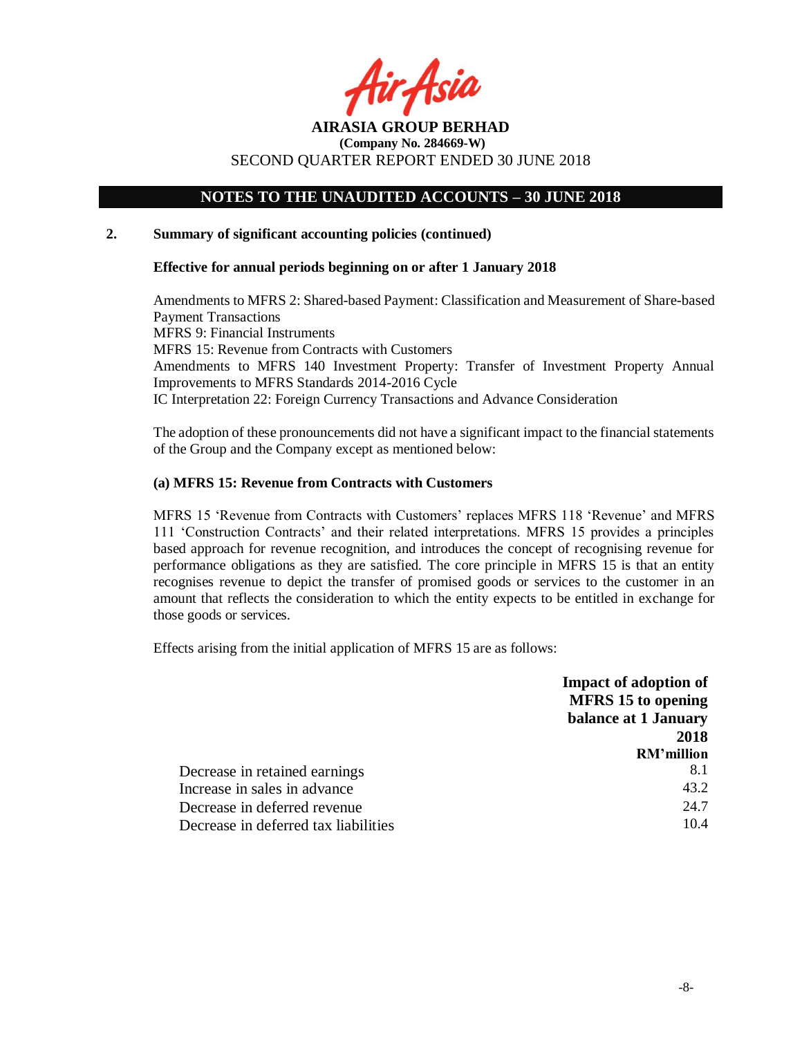

# **NOTES TO THE UNAUDITED ACCOUNTS – 30 JUNE 2018**

#### **2. Summary of significant accounting policies (continued)**

#### **Effective for annual periods beginning on or after 1 January 2018**

Amendments to MFRS 2: Shared-based Payment: Classification and Measurement of Share-based Payment Transactions MFRS 9: Financial Instruments MFRS 15: Revenue from Contracts with Customers Amendments to MFRS 140 Investment Property: Transfer of Investment Property Annual Improvements to MFRS Standards 2014-2016 Cycle IC Interpretation 22: Foreign Currency Transactions and Advance Consideration

The adoption of these pronouncements did not have a significant impact to the financial statements of the Group and the Company except as mentioned below:

#### **(a) MFRS 15: Revenue from Contracts with Customers**

MFRS 15 'Revenue from Contracts with Customers' replaces MFRS 118 'Revenue' and MFRS 111 'Construction Contracts' and their related interpretations. MFRS 15 provides a principles based approach for revenue recognition, and introduces the concept of recognising revenue for performance obligations as they are satisfied. The core principle in MFRS 15 is that an entity recognises revenue to depict the transfer of promised goods or services to the customer in an amount that reflects the consideration to which the entity expects to be entitled in exchange for those goods or services.

Effects arising from the initial application of MFRS 15 are as follows:

|                                      | <b>Impact of adoption of</b> |
|--------------------------------------|------------------------------|
|                                      | <b>MFRS</b> 15 to opening    |
|                                      | balance at 1 January         |
|                                      | 2018                         |
|                                      | RM'million                   |
| Decrease in retained earnings        | 8.1                          |
| Increase in sales in advance         | 43.2                         |
| Decrease in deferred revenue         | 24.7                         |
| Decrease in deferred tax liabilities | 10.4                         |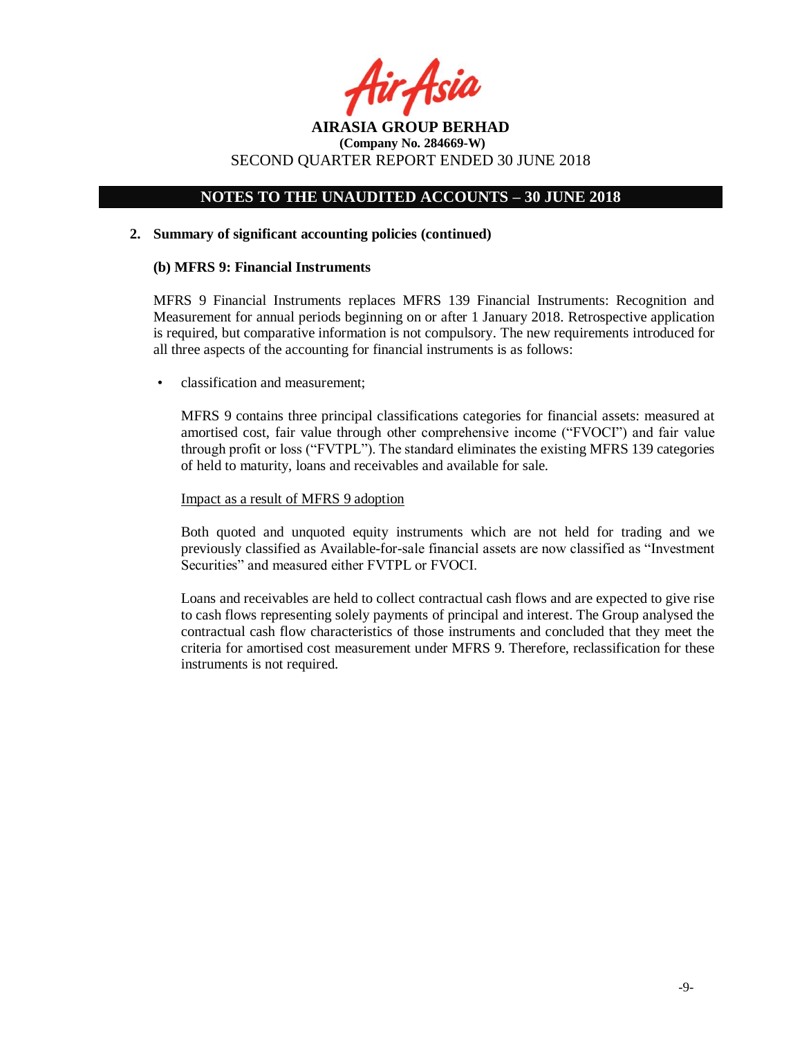

# **NOTES TO THE UNAUDITED ACCOUNTS – 30 JUNE 2018**

#### **2. Summary of significant accounting policies (continued)**

#### **(b) MFRS 9: Financial Instruments**

MFRS 9 Financial Instruments replaces MFRS 139 Financial Instruments: Recognition and Measurement for annual periods beginning on or after 1 January 2018. Retrospective application is required, but comparative information is not compulsory. The new requirements introduced for all three aspects of the accounting for financial instruments is as follows:

• classification and measurement;

MFRS 9 contains three principal classifications categories for financial assets: measured at amortised cost, fair value through other comprehensive income ("FVOCI") and fair value through profit or loss ("FVTPL"). The standard eliminates the existing MFRS 139 categories of held to maturity, loans and receivables and available for sale.

#### Impact as a result of MFRS 9 adoption

Both quoted and unquoted equity instruments which are not held for trading and we previously classified as Available-for-sale financial assets are now classified as "Investment Securities" and measured either FVTPL or FVOCI.

Loans and receivables are held to collect contractual cash flows and are expected to give rise to cash flows representing solely payments of principal and interest. The Group analysed the contractual cash flow characteristics of those instruments and concluded that they meet the criteria for amortised cost measurement under MFRS 9. Therefore, reclassification for these instruments is not required.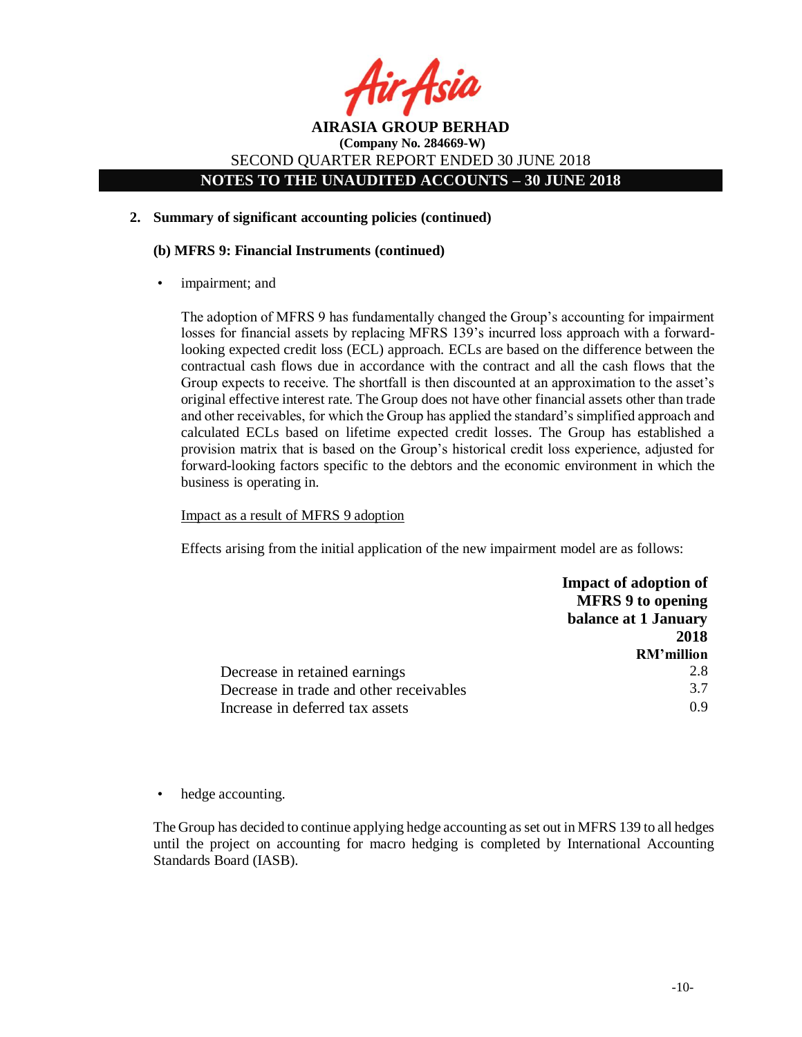

**NOTES TO THE UNAUDITED ACCOUNTS – 30 JUNE 2018**

## **2. Summary of significant accounting policies (continued)**

## **(b) MFRS 9: Financial Instruments (continued)**

impairment; and

The adoption of MFRS 9 has fundamentally changed the Group's accounting for impairment losses for financial assets by replacing MFRS 139's incurred loss approach with a forwardlooking expected credit loss (ECL) approach. ECLs are based on the difference between the contractual cash flows due in accordance with the contract and all the cash flows that the Group expects to receive. The shortfall is then discounted at an approximation to the asset's original effective interest rate. The Group does not have other financial assets other than trade and other receivables, for which the Group has applied the standard's simplified approach and calculated ECLs based on lifetime expected credit losses. The Group has established a provision matrix that is based on the Group's historical credit loss experience, adjusted for forward-looking factors specific to the debtors and the economic environment in which the business is operating in.

#### Impact as a result of MFRS 9 adoption

Effects arising from the initial application of the new impairment model are as follows:

|                                         | <b>Impact of adoption of</b> |
|-----------------------------------------|------------------------------|
|                                         | <b>MFRS 9 to opening</b>     |
|                                         | balance at 1 January         |
|                                         | 2018                         |
|                                         | RM'million                   |
| Decrease in retained earnings           | 2.8                          |
| Decrease in trade and other receivables | 3.7                          |
| Increase in deferred tax assets         | 0 ዓ                          |

• hedge accounting.

The Group has decided to continue applying hedge accounting as set out in MFRS 139 to all hedges until the project on accounting for macro hedging is completed by International Accounting Standards Board (IASB).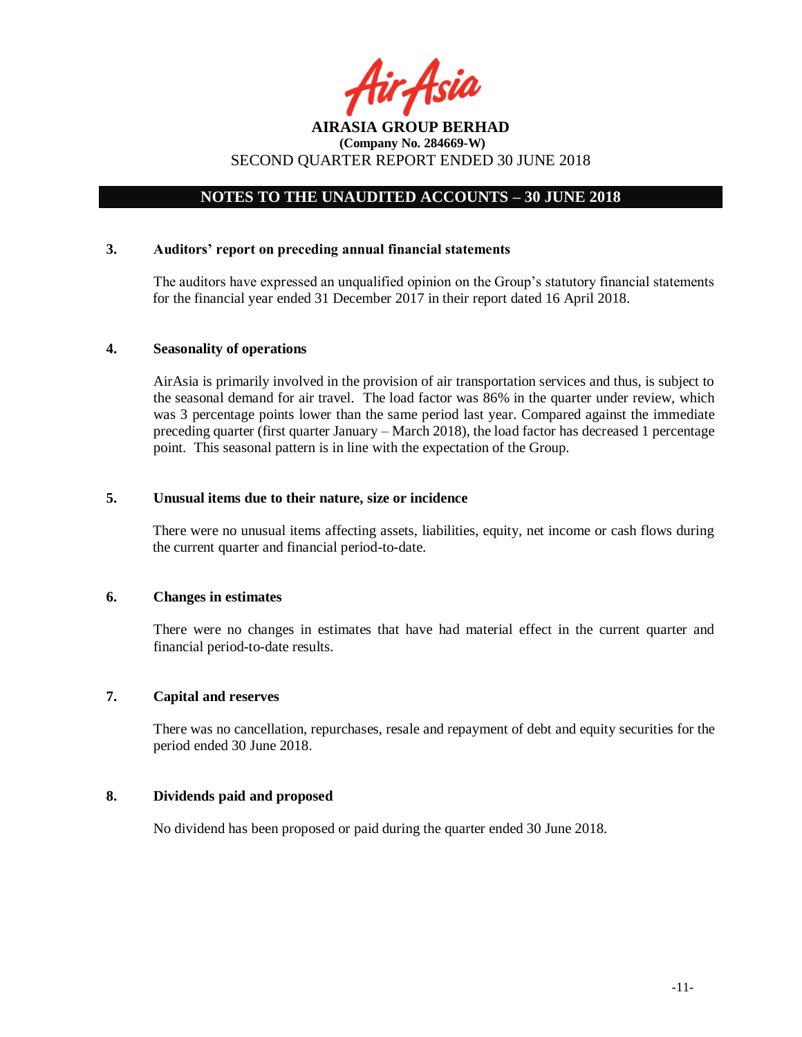

# SECOND QUARTER REPORT ENDED 30 JUNE 2018

# **NOTES TO THE UNAUDITED ACCOUNTS – 30 JUNE 2018**

#### **3. Auditors' report on preceding annual financial statements**

The auditors have expressed an unqualified opinion on the Group's statutory financial statements for the financial year ended 31 December 2017 in their report dated 16 April 2018.

#### **4. Seasonality of operations**

AirAsia is primarily involved in the provision of air transportation services and thus, is subject to the seasonal demand for air travel. The load factor was 86% in the quarter under review, which was 3 percentage points lower than the same period last year. Compared against the immediate preceding quarter (first quarter January – March 2018), the load factor has decreased 1 percentage point. This seasonal pattern is in line with the expectation of the Group.

#### **5. Unusual items due to their nature, size or incidence**

There were no unusual items affecting assets, liabilities, equity, net income or cash flows during the current quarter and financial period-to-date.

#### **6. Changes in estimates**

There were no changes in estimates that have had material effect in the current quarter and financial period-to-date results.

#### **7. Capital and reserves**

There was no cancellation, repurchases, resale and repayment of debt and equity securities for the period ended 30 June 2018.

## **8. Dividends paid and proposed**

No dividend has been proposed or paid during the quarter ended 30 June 2018.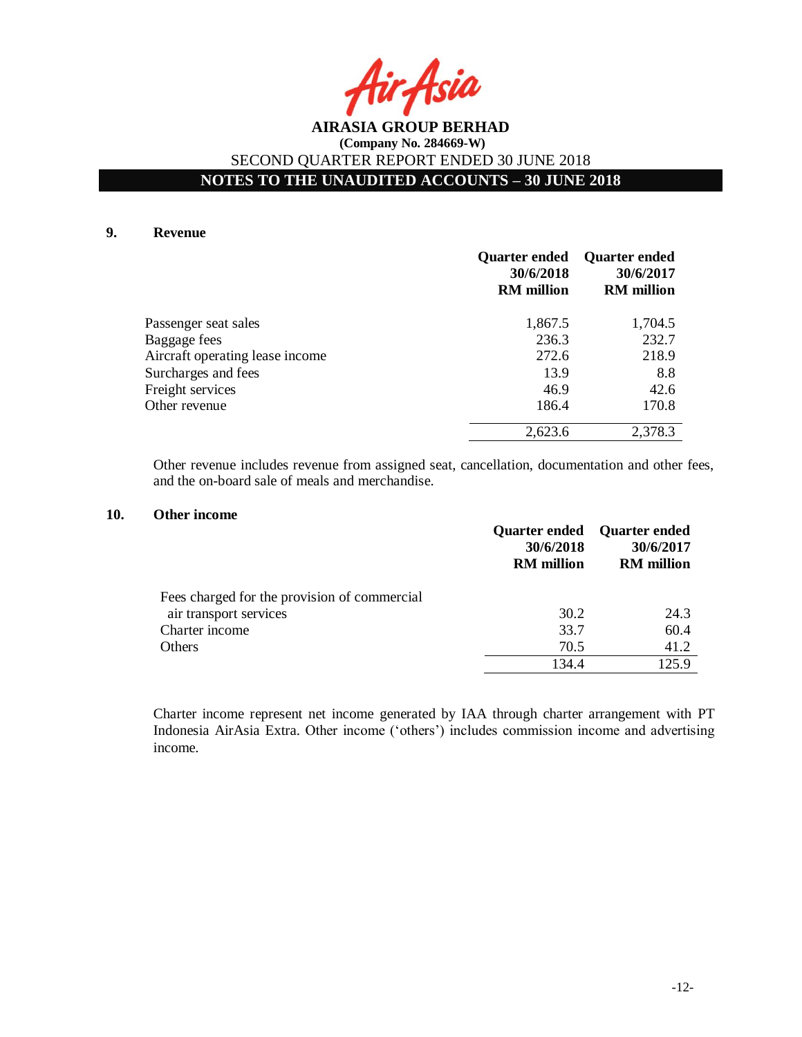Asia

# **NOTES TO THE UNAUDITED ACCOUNTS – 30 JUNE 2018**

#### **9. Revenue**

|                                 | <b>Quarter ended</b><br>30/6/2018<br><b>RM</b> million | <b>Quarter ended</b><br>30/6/2017<br><b>RM</b> million |
|---------------------------------|--------------------------------------------------------|--------------------------------------------------------|
| Passenger seat sales            | 1,867.5                                                | 1,704.5                                                |
| Baggage fees                    | 236.3                                                  | 232.7                                                  |
| Aircraft operating lease income | 272.6                                                  | 218.9                                                  |
| Surcharges and fees             | 13.9                                                   | 8.8                                                    |
| Freight services                | 46.9                                                   | 42.6                                                   |
| Other revenue                   | 186.4                                                  | 170.8                                                  |
|                                 | 2,623.6                                                | 2,378.3                                                |

Other revenue includes revenue from assigned seat, cancellation, documentation and other fees, and the on-board sale of meals and merchandise.

#### **10. Other income**

|                                              | Quarter ended Quarter ended<br>30/6/2018<br><b>RM</b> million | 30/6/2017<br><b>RM</b> million |
|----------------------------------------------|---------------------------------------------------------------|--------------------------------|
| Fees charged for the provision of commercial |                                                               |                                |
| air transport services                       | 30.2                                                          | 24.3                           |
| Charter income                               | 33.7                                                          | 60.4                           |
| Others                                       | 70.5                                                          | 41.2                           |
|                                              | 134.4                                                         | 125.9                          |

Charter income represent net income generated by IAA through charter arrangement with PT Indonesia AirAsia Extra. Other income ('others') includes commission income and advertising income.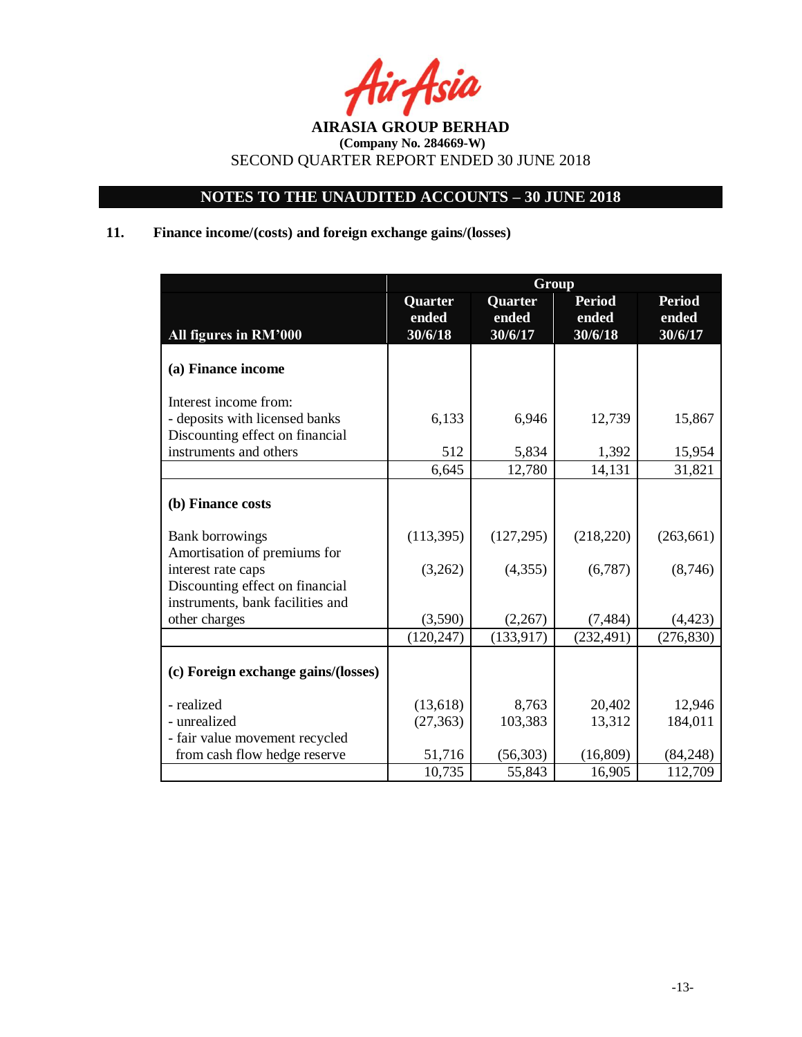

# **NOTES TO THE UNAUDITED ACCOUNTS – 30 JUNE 2018**

# **11. Finance income/(costs) and foreign exchange gains/(losses)**

|                                     | Group                       |                             |                                   |                                   |  |  |  |
|-------------------------------------|-----------------------------|-----------------------------|-----------------------------------|-----------------------------------|--|--|--|
| All figures in RM'000               | Quarter<br>ended<br>30/6/18 | Quarter<br>ended<br>30/6/17 | <b>Period</b><br>ended<br>30/6/18 | <b>Period</b><br>ended<br>30/6/17 |  |  |  |
| (a) Finance income                  |                             |                             |                                   |                                   |  |  |  |
| Interest income from:               |                             |                             |                                   |                                   |  |  |  |
| - deposits with licensed banks      | 6,133                       | 6,946                       | 12,739                            | 15,867                            |  |  |  |
| Discounting effect on financial     |                             |                             |                                   |                                   |  |  |  |
| instruments and others              | 512                         | 5,834                       | 1,392                             | 15,954                            |  |  |  |
|                                     | 6,645                       | 12,780                      | 14,131                            | 31,821                            |  |  |  |
| (b) Finance costs                   |                             |                             |                                   |                                   |  |  |  |
| <b>Bank borrowings</b>              | (113, 395)                  | (127, 295)                  | (218, 220)                        | (263, 661)                        |  |  |  |
| Amortisation of premiums for        |                             |                             |                                   |                                   |  |  |  |
| interest rate caps                  | (3,262)                     | (4, 355)                    | (6,787)                           | (8,746)                           |  |  |  |
| Discounting effect on financial     |                             |                             |                                   |                                   |  |  |  |
| instruments, bank facilities and    |                             |                             |                                   |                                   |  |  |  |
| other charges                       | (3,590)                     | (2,267)                     | (7, 484)                          | (4, 423)                          |  |  |  |
|                                     | (120, 247)                  | (133, 917)                  | (232, 491)                        | (276, 830)                        |  |  |  |
| (c) Foreign exchange gains/(losses) |                             |                             |                                   |                                   |  |  |  |
| - realized                          | (13,618)                    | 8,763                       | 20,402                            | 12,946                            |  |  |  |
| - unrealized                        | (27, 363)                   | 103,383                     | 13,312                            | 184,011                           |  |  |  |
| - fair value movement recycled      |                             |                             |                                   |                                   |  |  |  |
| from cash flow hedge reserve        | 51,716                      | (56, 303)                   | (16, 809)                         | (84,248)                          |  |  |  |
|                                     | 10,735                      | 55,843                      | 16,905                            | 112,709                           |  |  |  |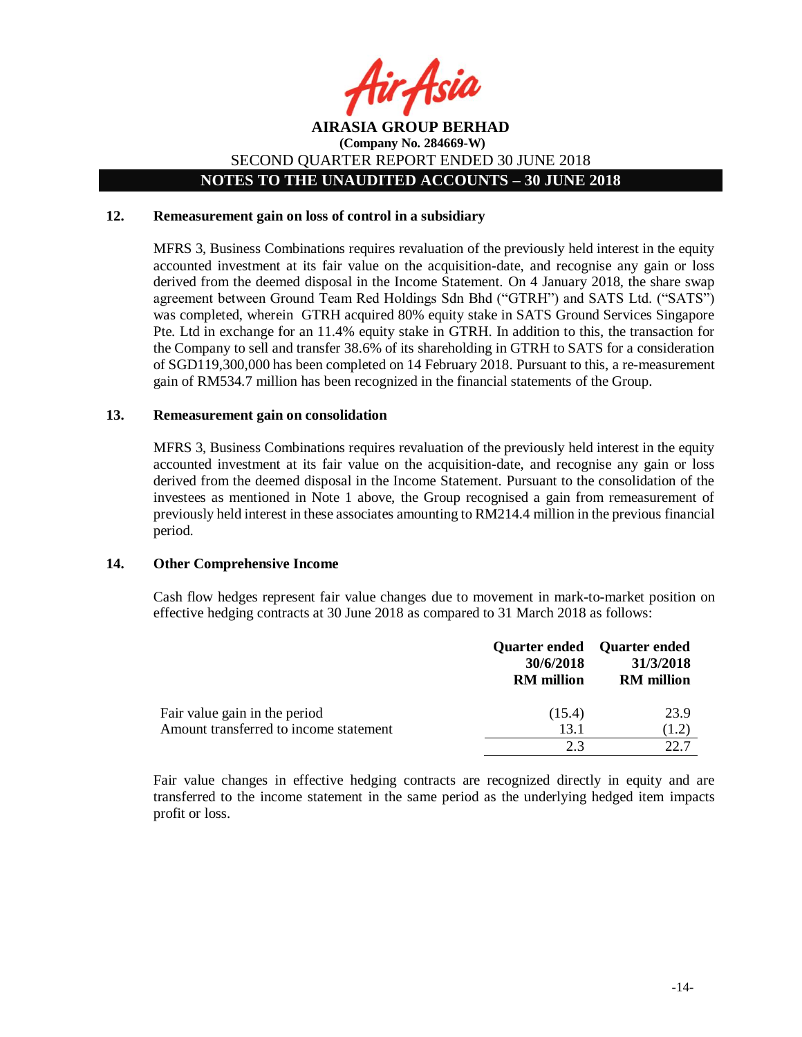

## **AIRASIA GROUP BERHAD (Company No. 284669-W)** SECOND QUARTER REPORT ENDED 30 JUNE 2018 **NOTES TO THE UNAUDITED ACCOUNTS – 30 JUNE 2018**

#### **12. Remeasurement gain on loss of control in a subsidiary**

MFRS 3, Business Combinations requires revaluation of the previously held interest in the equity accounted investment at its fair value on the acquisition-date, and recognise any gain or loss derived from the deemed disposal in the Income Statement. On 4 January 2018, the share swap agreement between Ground Team Red Holdings Sdn Bhd ("GTRH") and SATS Ltd. ("SATS") was completed, wherein GTRH acquired 80% equity stake in SATS Ground Services Singapore Pte. Ltd in exchange for an 11.4% equity stake in GTRH. In addition to this, the transaction for the Company to sell and transfer 38.6% of its shareholding in GTRH to SATS for a consideration of SGD119,300,000 has been completed on 14 February 2018. Pursuant to this, a re-measurement gain of RM534.7 million has been recognized in the financial statements of the Group.

#### **13. Remeasurement gain on consolidation**

MFRS 3, Business Combinations requires revaluation of the previously held interest in the equity accounted investment at its fair value on the acquisition-date, and recognise any gain or loss derived from the deemed disposal in the Income Statement. Pursuant to the consolidation of the investees as mentioned in Note 1 above, the Group recognised a gain from remeasurement of previously held interest in these associates amounting to RM214.4 million in the previous financial period.

#### **14. Other Comprehensive Income**

Cash flow hedges represent fair value changes due to movement in mark-to-market position on effective hedging contracts at 30 June 2018 as compared to 31 March 2018 as follows:

|                                        | 30/6/2018<br><b>RM</b> million | Quarter ended Quarter ended<br>31/3/2018<br><b>RM</b> million |
|----------------------------------------|--------------------------------|---------------------------------------------------------------|
| Fair value gain in the period          | (15.4)                         | 23.9                                                          |
| Amount transferred to income statement | 13.1                           | (1.2)                                                         |
|                                        | 23                             |                                                               |

Fair value changes in effective hedging contracts are recognized directly in equity and are transferred to the income statement in the same period as the underlying hedged item impacts profit or loss.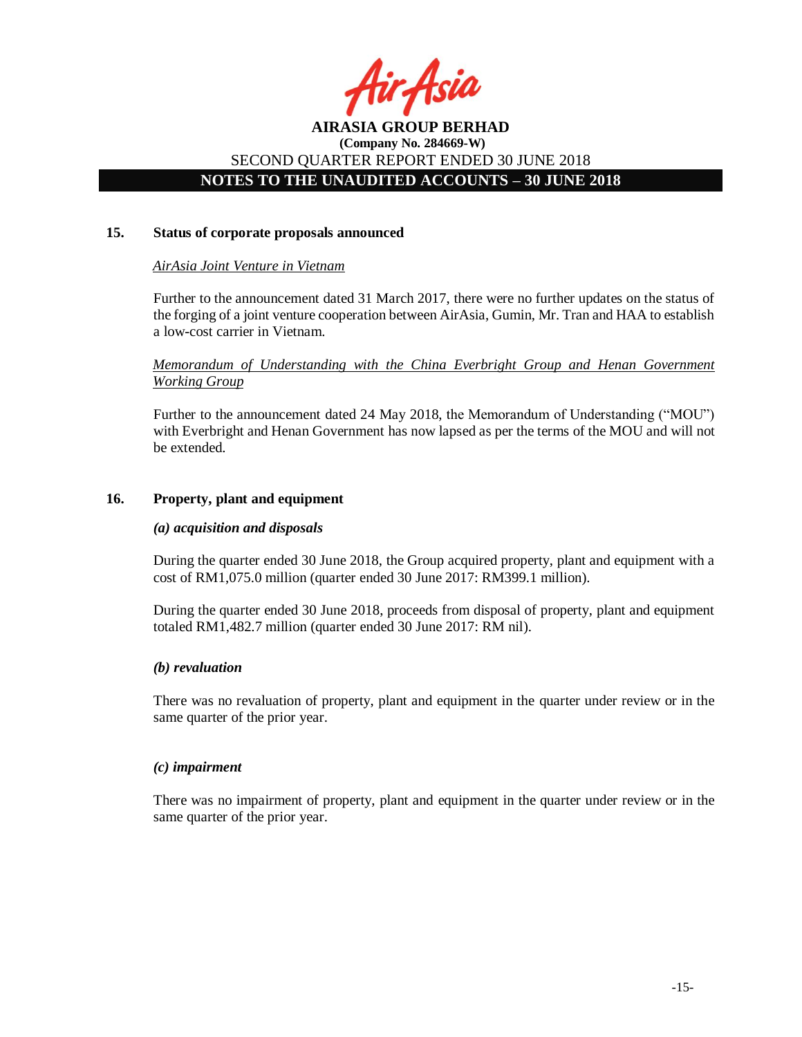

# **NOTES TO THE UNAUDITED ACCOUNTS – 30 JUNE 2018**

#### **15. Status of corporate proposals announced**

## *AirAsia Joint Venture in Vietnam*

Further to the announcement dated 31 March 2017, there were no further updates on the status of the forging of a joint venture cooperation between AirAsia, Gumin, Mr. Tran and HAA to establish a low-cost carrier in Vietnam.

*Memorandum of Understanding with the China Everbright Group and Henan Government Working Group*

Further to the announcement dated 24 May 2018, the Memorandum of Understanding ("MOU") with Everbright and Henan Government has now lapsed as per the terms of the MOU and will not be extended.

## **16. Property, plant and equipment**

#### *(a) acquisition and disposals*

During the quarter ended 30 June 2018, the Group acquired property, plant and equipment with a cost of RM1,075.0 million (quarter ended 30 June 2017: RM399.1 million).

During the quarter ended 30 June 2018, proceeds from disposal of property, plant and equipment totaled RM1,482.7 million (quarter ended 30 June 2017: RM nil).

#### *(b) revaluation*

There was no revaluation of property, plant and equipment in the quarter under review or in the same quarter of the prior year.

#### *(c) impairment*

There was no impairment of property, plant and equipment in the quarter under review or in the same quarter of the prior year.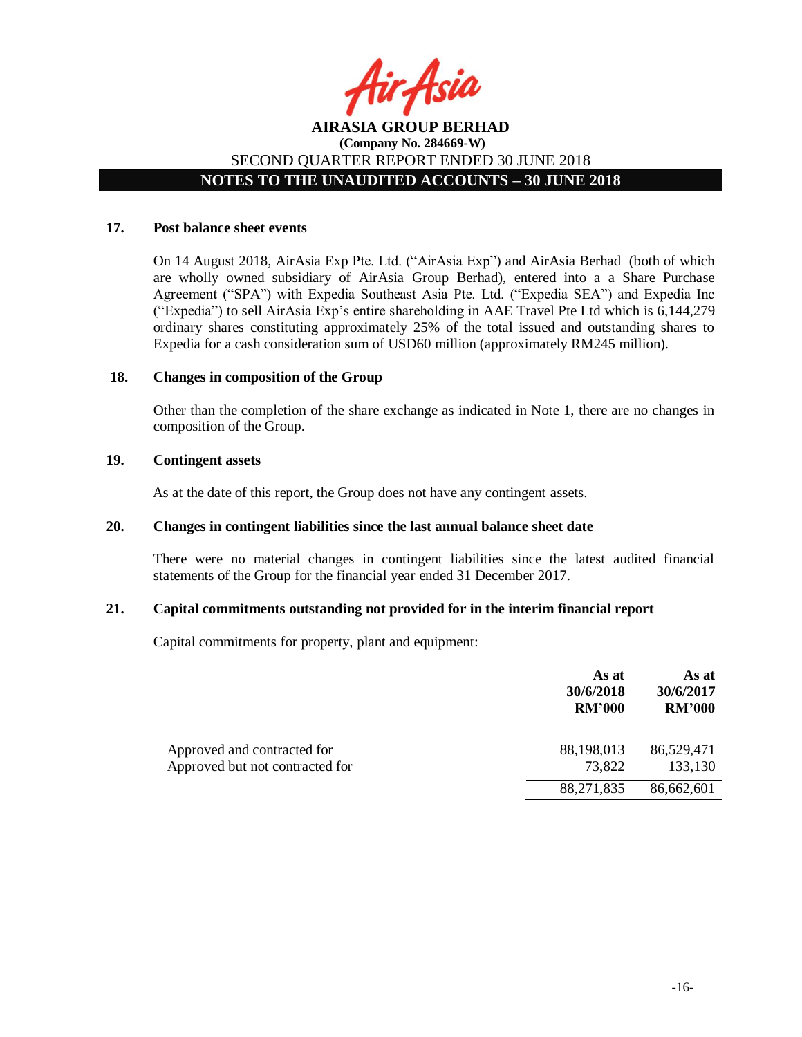

# **NOTES TO THE UNAUDITED ACCOUNTS – 30 JUNE 2018**

## **17. Post balance sheet events**

On 14 August 2018, AirAsia Exp Pte. Ltd. ("AirAsia Exp") and AirAsia Berhad (both of which are wholly owned subsidiary of AirAsia Group Berhad), entered into a a Share Purchase Agreement ("SPA") with Expedia Southeast Asia Pte. Ltd. ("Expedia SEA") and Expedia Inc ("Expedia") to sell AirAsia Exp's entire shareholding in AAE Travel Pte Ltd which is 6,144,279 ordinary shares constituting approximately 25% of the total issued and outstanding shares to Expedia for a cash consideration sum of USD60 million (approximately RM245 million).

## **18. Changes in composition of the Group**

Other than the completion of the share exchange as indicated in Note 1, there are no changes in composition of the Group.

#### **19. Contingent assets**

As at the date of this report, the Group does not have any contingent assets.

## **20. Changes in contingent liabilities since the last annual balance sheet date**

There were no material changes in contingent liabilities since the latest audited financial statements of the Group for the financial year ended 31 December 2017.

#### **21. Capital commitments outstanding not provided for in the interim financial report**

Capital commitments for property, plant and equipment:

|                                                                | As at<br>30/6/2018<br><b>RM'000</b> | As at<br>30/6/2017<br><b>RM'000</b> |
|----------------------------------------------------------------|-------------------------------------|-------------------------------------|
| Approved and contracted for<br>Approved but not contracted for | 88,198,013<br>73,822                | 86,529,471<br>133,130               |
|                                                                | 88,271,835                          | 86,662,601                          |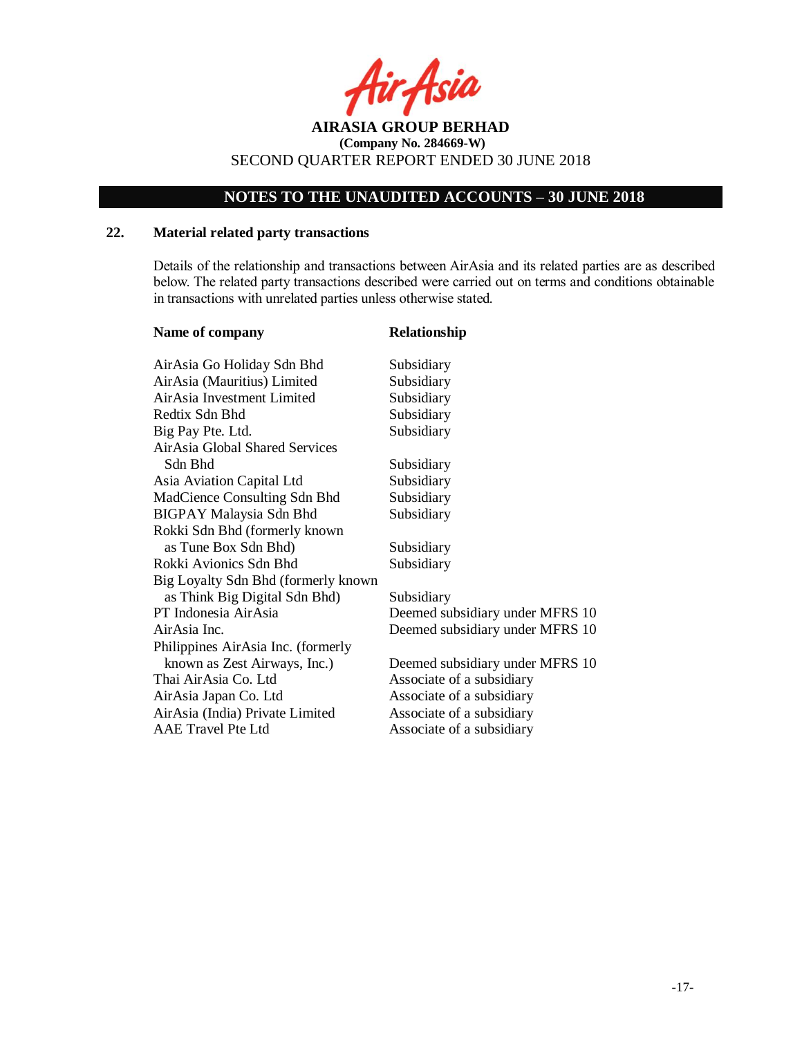

# **NOTES TO THE UNAUDITED ACCOUNTS – 30 JUNE 2018**

## **22. Material related party transactions**

Details of the relationship and transactions between AirAsia and its related parties are as described below. The related party transactions described were carried out on terms and conditions obtainable in transactions with unrelated parties unless otherwise stated.

| Name of company                     | Relationship                    |
|-------------------------------------|---------------------------------|
| AirAsia Go Holiday Sdn Bhd          | Subsidiary                      |
| AirAsia (Mauritius) Limited         | Subsidiary                      |
| AirAsia Investment Limited          | Subsidiary                      |
| Redtix Sdn Bhd                      | Subsidiary                      |
| Big Pay Pte. Ltd.                   | Subsidiary                      |
| AirAsia Global Shared Services      |                                 |
| Sdn Bhd                             | Subsidiary                      |
| Asia Aviation Capital Ltd           | Subsidiary                      |
| MadCience Consulting Sdn Bhd        | Subsidiary                      |
| <b>BIGPAY Malaysia Sdn Bhd</b>      | Subsidiary                      |
| Rokki Sdn Bhd (formerly known       |                                 |
| as Tune Box Sdn Bhd)                | Subsidiary                      |
| Rokki Avionics Sdn Bhd              | Subsidiary                      |
| Big Loyalty Sdn Bhd (formerly known |                                 |
| as Think Big Digital Sdn Bhd)       | Subsidiary                      |
| PT Indonesia AirAsia                | Deemed subsidiary under MFRS 10 |
| AirAsia Inc.                        | Deemed subsidiary under MFRS 10 |
| Philippines AirAsia Inc. (formerly  |                                 |
| known as Zest Airways, Inc.)        | Deemed subsidiary under MFRS 10 |
| Thai AirAsia Co. Ltd                | Associate of a subsidiary       |
| AirAsia Japan Co. Ltd               | Associate of a subsidiary       |
| AirAsia (India) Private Limited     | Associate of a subsidiary       |
| <b>AAE</b> Travel Pte Ltd           | Associate of a subsidiary       |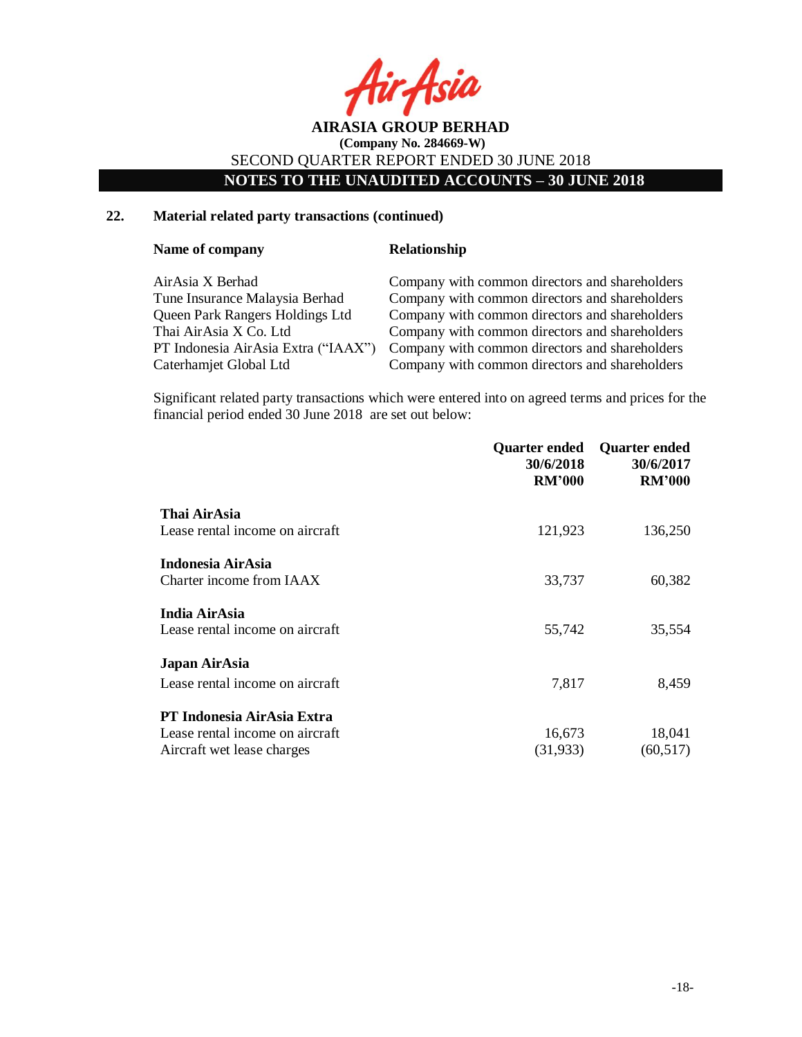

**NOTES TO THE UNAUDITED ACCOUNTS – 30 JUNE 2018**

## **22. Material related party transactions (continued)**

#### **Name of company <b>Relationship**

| AirAsia X Berhad                    | Company with common directors and shareholders |
|-------------------------------------|------------------------------------------------|
| Tune Insurance Malaysia Berhad      | Company with common directors and shareholders |
| Queen Park Rangers Holdings Ltd     | Company with common directors and shareholders |
| Thai AirAsia X Co. Ltd              | Company with common directors and shareholders |
| PT Indonesia AirAsia Extra ("IAAX") | Company with common directors and shareholders |
| Caterhamjet Global Ltd              | Company with common directors and shareholders |

Significant related party transactions which were entered into on agreed terms and prices for the financial period ended 30 June 2018 are set out below:

|                                 | Quarter ended<br>30/6/2018<br><b>RM'000</b> | <b>Quarter ended</b><br>30/6/2017<br><b>RM'000</b> |
|---------------------------------|---------------------------------------------|----------------------------------------------------|
| Thai AirAsia                    |                                             |                                                    |
| Lease rental income on aircraft | 121,923                                     | 136,250                                            |
| Indonesia AirAsia               |                                             |                                                    |
| Charter income from IAAX        | 33,737                                      | 60,382                                             |
| India AirAsia                   |                                             |                                                    |
| Lease rental income on aircraft | 55,742                                      | 35,554                                             |
| Japan AirAsia                   |                                             |                                                    |
| Lease rental income on aircraft | 7,817                                       | 8,459                                              |
| PT Indonesia AirAsia Extra      |                                             |                                                    |
| Lease rental income on aircraft | 16,673                                      | 18,041                                             |
| Aircraft wet lease charges      | (31, 933)                                   | (60, 517)                                          |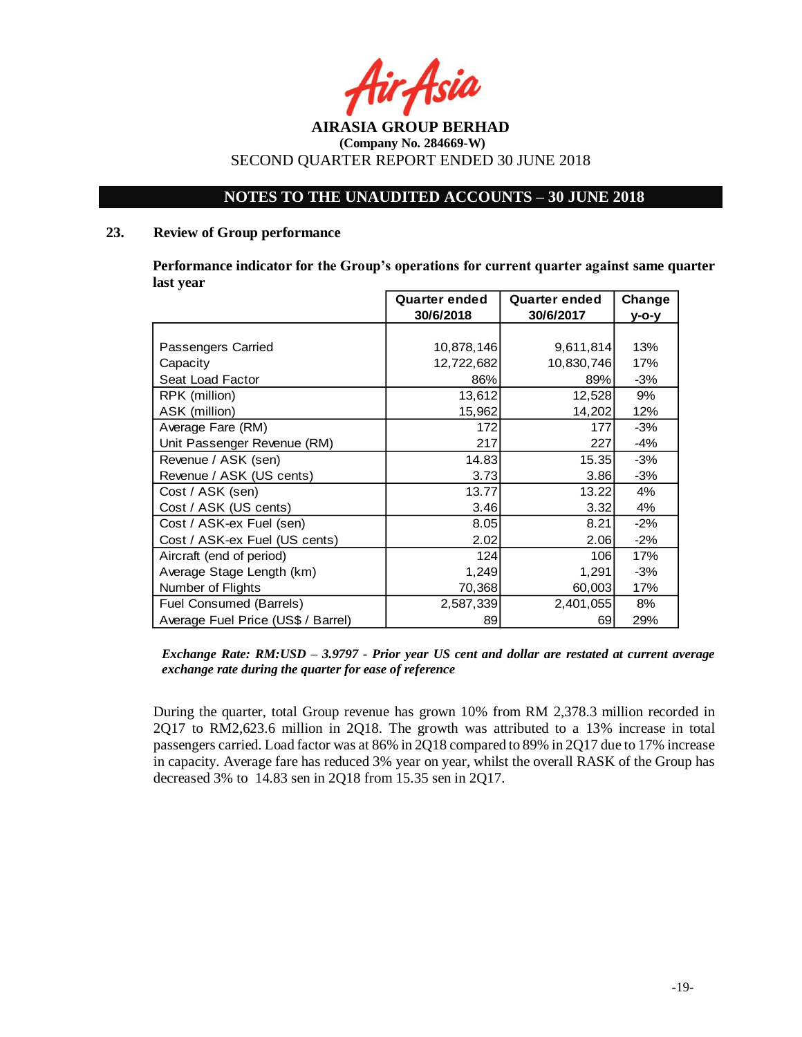

## **NOTES TO THE UNAUDITED ACCOUNTS – 30 JUNE 2018**

#### **23. Review of Group performance**

**Performance indicator for the Group's operations for current quarter against same quarter last year**

|                                    | Quarter ended<br><b>Quarter ended</b> |            | Change |
|------------------------------------|---------------------------------------|------------|--------|
|                                    | 30/6/2018                             | 30/6/2017  | у-о-у  |
|                                    |                                       |            |        |
| Passengers Carried                 | 10,878,146                            | 9,611,814  | 13%    |
| Capacity                           | 12,722,682                            | 10,830,746 | 17%    |
| Seat Load Factor                   | 86%                                   | 89%        | $-3%$  |
| RPK (million)                      | 13,612                                | 12,528     | 9%     |
| ASK (million)                      | 15,962                                | 14,202     | 12%    |
| Average Fare (RM)                  | 172                                   | 177        | $-3%$  |
| Unit Passenger Revenue (RM)        | 217                                   | 227        | $-4%$  |
| Revenue / ASK (sen)                | 14.83                                 | 15.35      | $-3%$  |
| Revenue / ASK (US cents)           | 3.73                                  | 3.86       | $-3%$  |
| Cost / ASK (sen)                   | 13.77                                 | 13.22      | 4%     |
| Cost / ASK (US cents)              | 3.46                                  | 3.32       | 4%     |
| Cost / ASK-ex Fuel (sen)           | 8.05                                  | 8.21       | $-2%$  |
| Cost / ASK-ex Fuel (US cents)      | 2.02                                  | 2.06       | $-2%$  |
| Aircraft (end of period)           | 124                                   | 106        | 17%    |
| Average Stage Length (km)          | 1,249                                 | 1,291      | $-3%$  |
| Number of Flights                  | 70,368                                | 60,003     | 17%    |
| Fuel Consumed (Barrels)            | 2,587,339                             | 2,401,055  | 8%     |
| Average Fuel Price (US\$ / Barrel) | 89                                    | 69         | 29%    |

#### *Exchange Rate: RM:USD – 3.9797 - Prior year US cent and dollar are restated at current average exchange rate during the quarter for ease of reference*

During the quarter, total Group revenue has grown 10% from RM 2,378.3 million recorded in 2Q17 to RM2,623.6 million in 2Q18. The growth was attributed to a 13% increase in total passengers carried. Load factor was at 86% in 2Q18 compared to 89% in 2Q17 due to 17% increase in capacity. Average fare has reduced 3% year on year, whilst the overall RASK of the Group has decreased 3% to 14.83 sen in 2Q18 from 15.35 sen in 2Q17.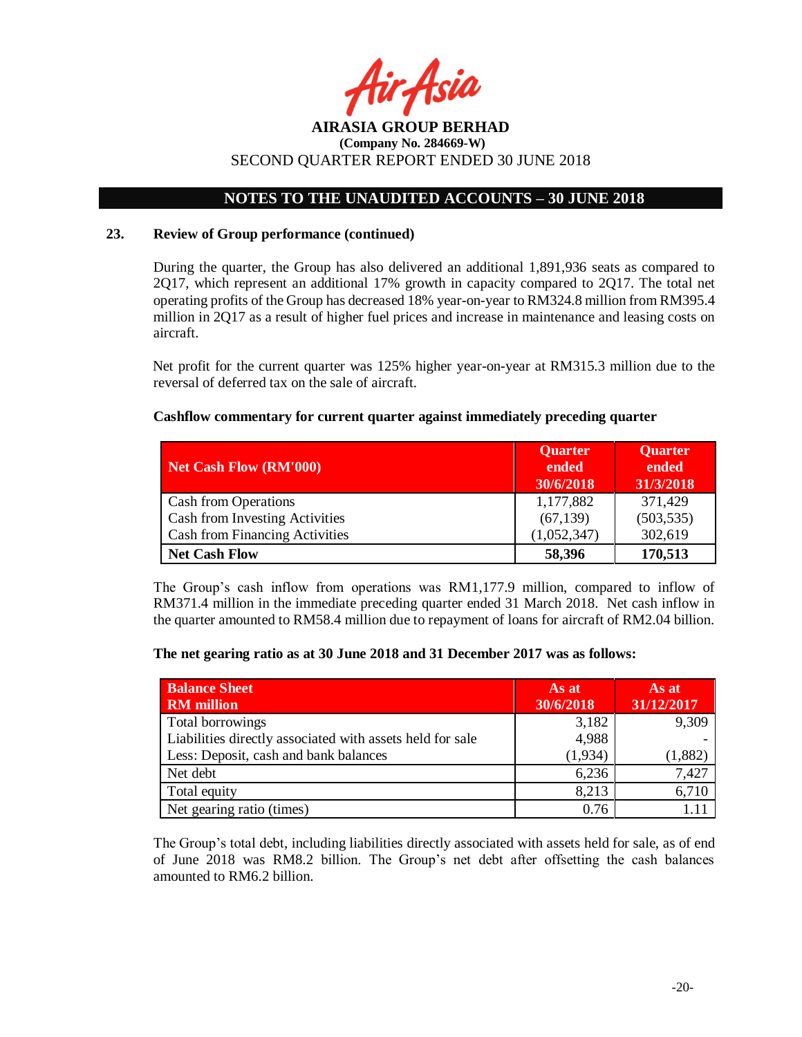

# **(Company No. 284669-W)** SECOND QUARTER REPORT ENDED 30 JUNE 2018

# **NOTES TO THE UNAUDITED ACCOUNTS – 30 JUNE 2018**

#### **23. Review of Group performance (continued)**

During the quarter, the Group has also delivered an additional 1,891,936 seats as compared to 2Q17, which represent an additional 17% growth in capacity compared to 2Q17. The total net operating profits of the Group has decreased 18% year-on-year to RM324.8 million from RM395.4 million in 2Q17 as a result of higher fuel prices and increase in maintenance and leasing costs on aircraft.

Net profit for the current quarter was 125% higher year-on-year at RM315.3 million due to the reversal of deferred tax on the sale of aircraft.

#### **Cashflow commentary for current quarter against immediately preceding quarter**

| <b>Net Cash Flow (RM'000)</b>         | <b>Quarter</b><br>ended<br>30/6/2018 | <b>Quarter</b><br>ended<br>31/3/2018 |
|---------------------------------------|--------------------------------------|--------------------------------------|
| Cash from Operations                  | 1,177,882                            | 371,429                              |
| Cash from Investing Activities        | (67, 139)                            | (503, 535)                           |
| <b>Cash from Financing Activities</b> | (1,052,347)                          | 302,619                              |
| <b>Net Cash Flow</b>                  | 58,396                               | 170,513                              |

The Group's cash inflow from operations was RM1,177.9 million, compared to inflow of RM371.4 million in the immediate preceding quarter ended 31 March 2018. Net cash inflow in the quarter amounted to RM58.4 million due to repayment of loans for aircraft of RM2.04 billion.

#### **The net gearing ratio as at 30 June 2018 and 31 December 2017 was as follows:**

| <b>Balance Sheet</b><br><b>RM</b> million                 | As at<br>30/6/2018 | As at<br>31/12/2017 |
|-----------------------------------------------------------|--------------------|---------------------|
| Total borrowings                                          | 3,182              | 9,309               |
| Liabilities directly associated with assets held for sale | 4,988              |                     |
| Less: Deposit, cash and bank balances                     | (1, 934)           | (1,882)             |
| Net debt                                                  | 6,236              | 7,427               |
| Total equity                                              | 8,213              | 6,710               |
| Net gearing ratio (times)                                 | 0.76               |                     |

The Group's total debt, including liabilities directly associated with assets held for sale, as of end of June 2018 was RM8.2 billion. The Group's net debt after offsetting the cash balances amounted to RM6.2 billion.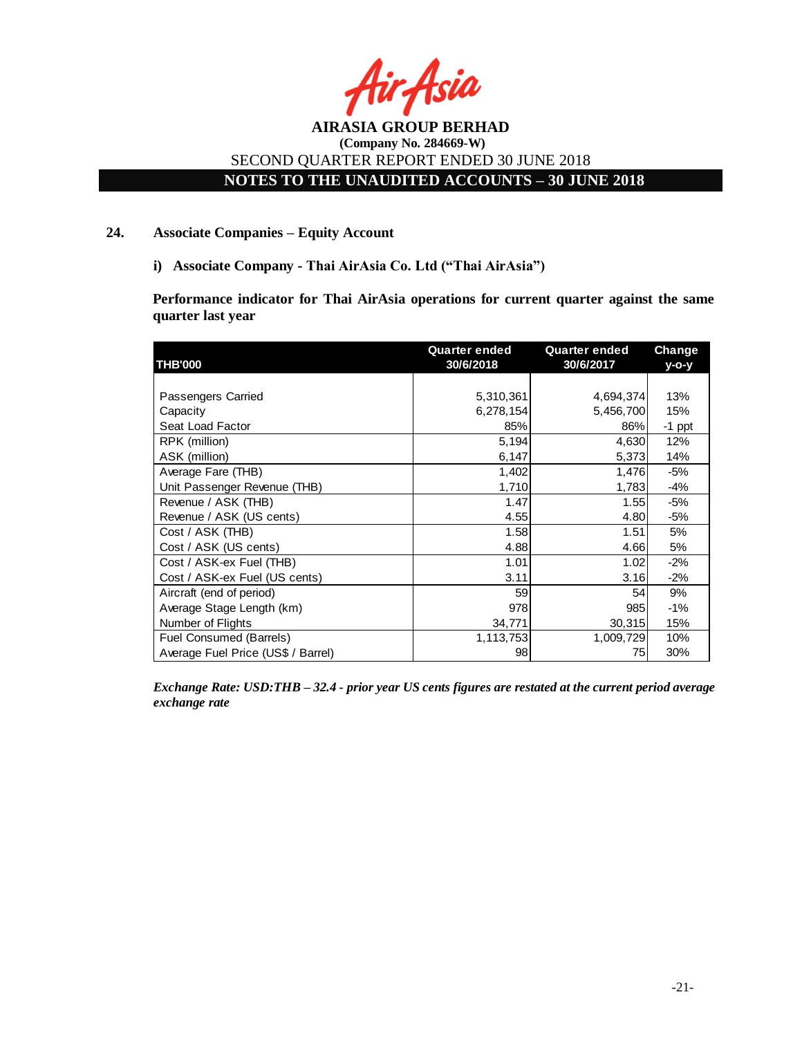

# **NOTES TO THE UNAUDITED ACCOUNTS – 30 JUNE 2018**

#### **24. Associate Companies – Equity Account**

**i) Associate Company - Thai AirAsia Co. Ltd ("Thai AirAsia")**

**Performance indicator for Thai AirAsia operations for current quarter against the same quarter last year**

|                                    | <b>Quarter ended</b> | <b>Quarter ended</b> | Change   |
|------------------------------------|----------------------|----------------------|----------|
| <b>THB'000</b>                     | 30/6/2018            | 30/6/2017            | y-o-y    |
|                                    |                      |                      |          |
| Passengers Carried                 | 5,310,361            | 4,694,374            | 13%      |
| Capacity                           | 6,278,154            | 5,456,700            | 15%      |
| Seat Load Factor                   | 85%                  | 86%                  | $-1$ ppt |
| RPK (million)                      | 5,194                | 4,630                | 12%      |
| ASK (million)                      | 6,147                | 5,373                | 14%      |
| Average Fare (THB)                 | 1,402                | 1,476                | -5%      |
| Unit Passenger Revenue (THB)       | 1,710                | 1,783                | -4%      |
| Revenue / ASK (THB)                | 1.47                 | 1.55                 | -5%      |
| Revenue / ASK (US cents)           | 4.55                 | 4.80                 | -5%      |
| Cost / ASK (THB)                   | 1.58                 | 1.51                 | 5%       |
| Cost / ASK (US cents)              | 4.88                 | 4.66                 | 5%       |
| Cost / ASK-ex Fuel (THB)           | 1.01                 | 1.02                 | $-2%$    |
| Cost / ASK-ex Fuel (US cents)      | 3.11                 | 3.16                 | $-2\%$   |
| Aircraft (end of period)           | 59                   | 54                   | 9%       |
| Average Stage Length (km)          | 978                  | 985                  | $-1%$    |
| Number of Flights                  | 34,771               | 30,315               | 15%      |
| Fuel Consumed (Barrels)            | 1,113,753            | 1,009,729            | 10%      |
| Average Fuel Price (US\$ / Barrel) | 98                   | 75                   | 30%      |

*Exchange Rate: USD:THB – 32.4 - prior year US cents figures are restated at the current period average exchange rate*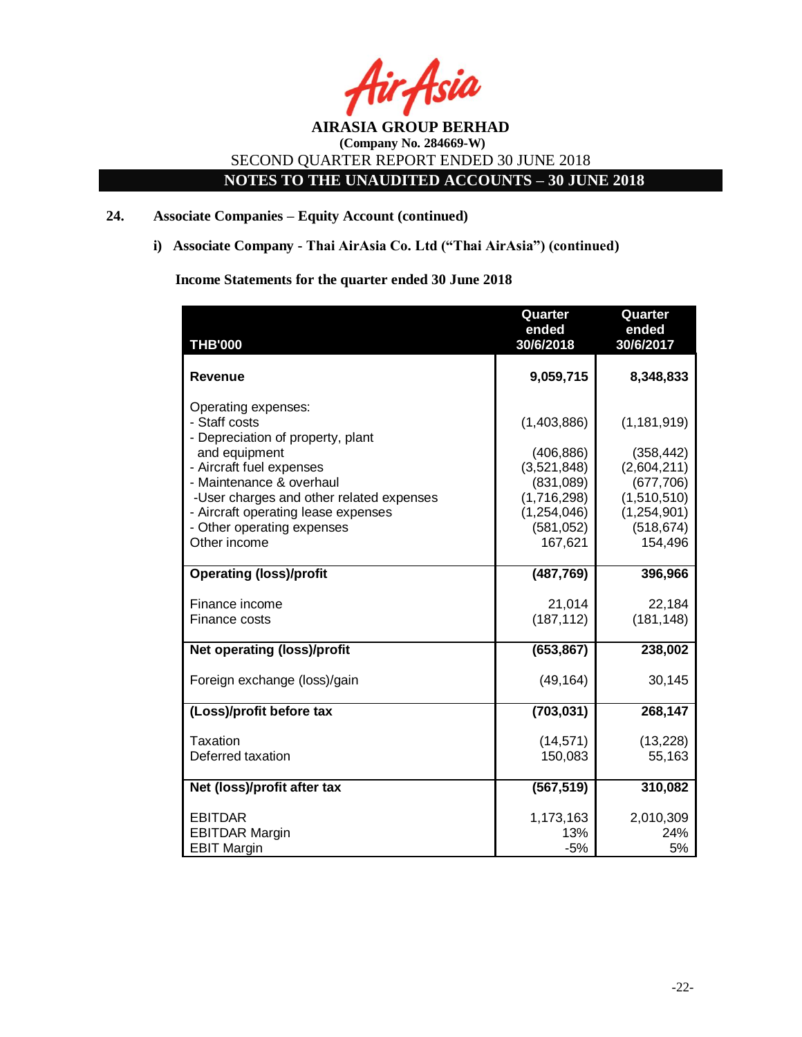

**NOTES TO THE UNAUDITED ACCOUNTS – 30 JUNE 2018**

## **24. Associate Companies – Equity Account (continued)**

**i) Associate Company - Thai AirAsia Co. Ltd ("Thai AirAsia") (continued)**

# **Income Statements for the quarter ended 30 June 2018**

|                                                                                                               | Quarter<br>ended                           | Quarter<br>ended                         |
|---------------------------------------------------------------------------------------------------------------|--------------------------------------------|------------------------------------------|
| <b>THB'000</b>                                                                                                | 30/6/2018                                  | 30/6/2017                                |
| <b>Revenue</b>                                                                                                | 9,059,715                                  | 8,348,833                                |
| Operating expenses:<br>- Staff costs<br>- Depreciation of property, plant                                     | (1,403,886)                                | (1, 181, 919)                            |
| and equipment<br>- Aircraft fuel expenses<br>- Maintenance & overhaul                                         | (406, 886)<br>(3,521,848)<br>(831,089)     | (358, 442)<br>(2,604,211)<br>(677,706)   |
| -User charges and other related expenses<br>- Aircraft operating lease expenses<br>- Other operating expenses | (1,716,298)<br>(1, 254, 046)<br>(581, 052) | (1,510,510)<br>(1,254,901)<br>(518, 674) |
| Other income                                                                                                  | 167,621                                    | 154,496                                  |
| <b>Operating (loss)/profit</b>                                                                                | (487, 769)                                 | 396,966                                  |
| Finance income                                                                                                | 21,014                                     | 22,184                                   |
| Finance costs                                                                                                 | (187, 112)                                 | (181, 148)                               |
| Net operating (loss)/profit                                                                                   | (653, 867)                                 | 238,002                                  |
| Foreign exchange (loss)/gain                                                                                  | (49, 164)                                  | 30,145                                   |
| (Loss)/profit before tax                                                                                      | (703, 031)                                 | 268,147                                  |
| Taxation                                                                                                      | (14, 571)                                  | (13, 228)                                |
| Deferred taxation                                                                                             | 150,083                                    | 55,163                                   |
| Net (loss)/profit after tax                                                                                   | (567, 519)                                 | 310,082                                  |
| <b>EBITDAR</b>                                                                                                | 1,173,163                                  | 2,010,309                                |
| <b>EBITDAR Margin</b><br><b>EBIT Margin</b>                                                                   | 13%<br>$-5%$                               | 24%<br>5%                                |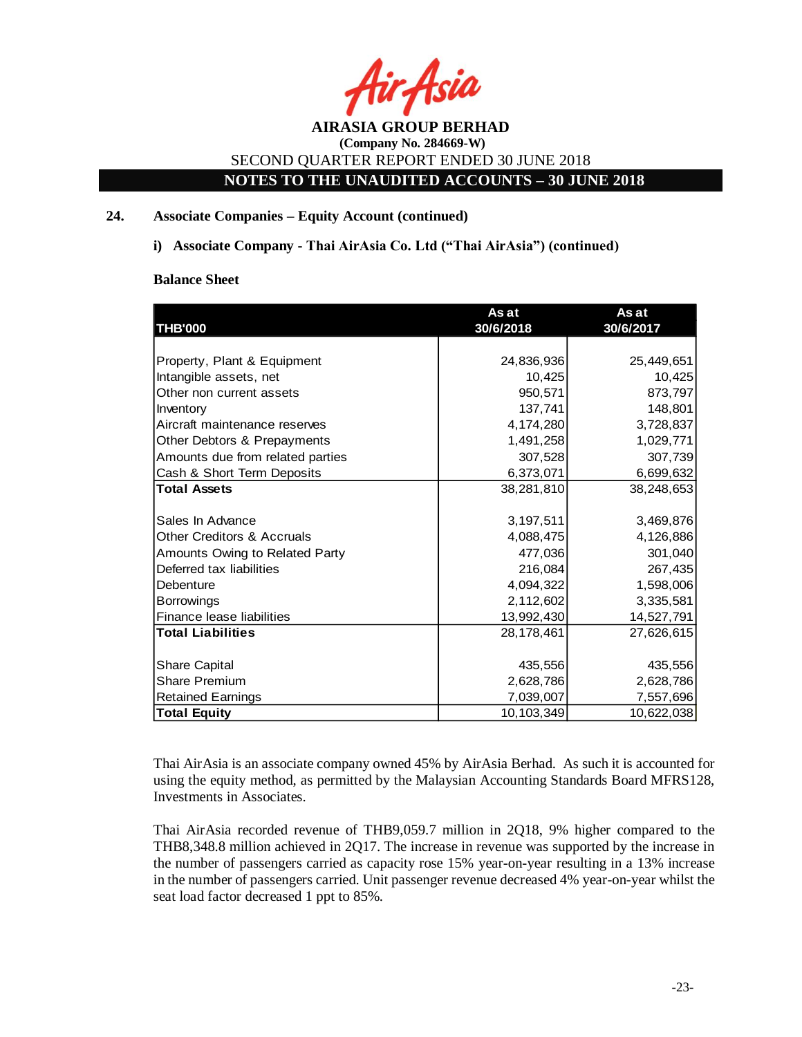

**NOTES TO THE UNAUDITED ACCOUNTS – 30 JUNE 2018**

## **24. Associate Companies – Equity Account (continued)**

**i) Associate Company - Thai AirAsia Co. Ltd ("Thai AirAsia") (continued)**

#### **Balance Sheet**

| <b>THB'000</b>                        | As at<br>30/6/2018 | As at<br>30/6/2017 |
|---------------------------------------|--------------------|--------------------|
|                                       |                    |                    |
| Property, Plant & Equipment           | 24,836,936         | 25,449,651         |
| Intangible assets, net                | 10,425             | 10,425             |
| Other non current assets              | 950,571            | 873,797            |
| Inventory                             | 137,741            | 148,801            |
| Aircraft maintenance reserves         | 4,174,280          | 3,728,837          |
| Other Debtors & Prepayments           | 1,491,258          | 1,029,771          |
| Amounts due from related parties      | 307,528            | 307,739            |
| Cash & Short Term Deposits            | 6,373,071          | 6,699,632          |
| <b>Total Assets</b>                   | 38,281,810         | 38,248,653         |
|                                       |                    |                    |
| Sales In Advance                      | 3,197,511          | 3,469,876          |
| <b>Other Creditors &amp; Accruals</b> | 4,088,475          | 4,126,886          |
| Amounts Owing to Related Party        | 477,036            | 301,040            |
| Deferred tax liabilities              | 216,084            | 267,435            |
| Debenture                             | 4,094,322          | 1,598,006          |
| <b>Borrowings</b>                     | 2,112,602          | 3,335,581          |
| Finance lease liabilities             | 13,992,430         | 14,527,791         |
| <b>Total Liabilities</b>              | 28,178,461         | 27,626,615         |
|                                       |                    |                    |
| <b>Share Capital</b>                  | 435,556            | 435,556            |
| <b>Share Premium</b>                  | 2,628,786          | 2,628,786          |
| <b>Retained Earnings</b>              | 7,039,007          | 7,557,696          |
| <b>Total Equity</b>                   | 10,103,349         | 10,622,038         |

Thai AirAsia is an associate company owned 45% by AirAsia Berhad. As such it is accounted for using the equity method, as permitted by the Malaysian Accounting Standards Board MFRS128, Investments in Associates.

Thai AirAsia recorded revenue of THB9,059.7 million in 2Q18, 9% higher compared to the THB8,348.8 million achieved in 2Q17. The increase in revenue was supported by the increase in the number of passengers carried as capacity rose 15% year-on-year resulting in a 13% increase in the number of passengers carried. Unit passenger revenue decreased 4% year-on-year whilst the seat load factor decreased 1 ppt to 85%.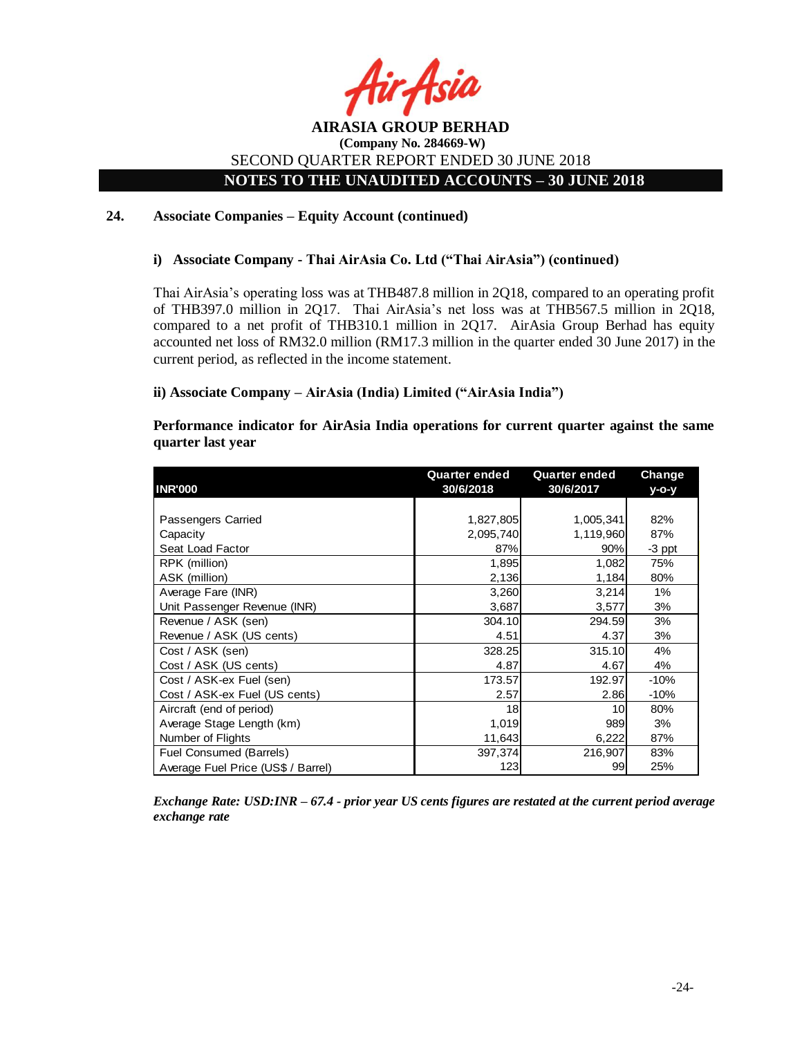

## **NOTES TO THE UNAUDITED ACCOUNTS – 30 JUNE 2018**

#### **24. Associate Companies – Equity Account (continued)**

#### **i) Associate Company - Thai AirAsia Co. Ltd ("Thai AirAsia") (continued)**

Thai AirAsia's operating loss was at THB487.8 million in 2Q18, compared to an operating profit of THB397.0 million in 2Q17. Thai AirAsia's net loss was at THB567.5 million in 2Q18, compared to a net profit of THB310.1 million in 2Q17. AirAsia Group Berhad has equity accounted net loss of RM32.0 million (RM17.3 million in the quarter ended 30 June 2017) in the current period, as reflected in the income statement.

#### **ii) Associate Company – AirAsia (India) Limited ("AirAsia India")**

## **Performance indicator for AirAsia India operations for current quarter against the same quarter last year**

|                                    | <b>Quarter ended</b> | <b>Quarter ended</b> | <b>Change</b> |
|------------------------------------|----------------------|----------------------|---------------|
| <b>INR'000</b>                     | 30/6/2018            | 30/6/2017            | $V-O-V$       |
|                                    |                      |                      |               |
| Passengers Carried                 | 1,827,805            | 1,005,341            | 82%           |
| Capacity                           | 2,095,740            | 1,119,960            | 87%           |
| Seat Load Factor                   | 87%                  | 90%                  | -3 ppt        |
| RPK (million)                      | 1,895                | 1,082                | 75%           |
| ASK (million)                      | 2,136                | 1,184                | 80%           |
| Average Fare (INR)                 | 3,260                | 3,214                | $1\%$         |
| Unit Passenger Revenue (INR)       | 3,687                | 3,577                | 3%            |
| Revenue / ASK (sen)                | 304.10               | 294.59               | 3%            |
| Revenue / ASK (US cents)           | 4.51                 | 4.37                 | 3%            |
| Cost / ASK (sen)                   | 328.25               | 315.10               | 4%            |
| Cost / ASK (US cents)              | 4.87                 | 4.67                 | 4%            |
| Cost / ASK-ex Fuel (sen)           | 173.57               | 192.97               | $-10%$        |
| Cost / ASK-ex Fuel (US cents)      | 2.57                 | 2.86                 | $-10%$        |
| Aircraft (end of period)           | 18                   | 10                   | 80%           |
| Average Stage Length (km)          | 1,019                | 989                  | 3%            |
| Number of Flights                  | 11,643               | 6,222                | 87%           |
| Fuel Consumed (Barrels)            | 397,374              | 216,907              | 83%           |
| Average Fuel Price (US\$ / Barrel) | 123                  | 99                   | 25%           |

*Exchange Rate: USD:INR – 67.4 - prior year US cents figures are restated at the current period average exchange rate*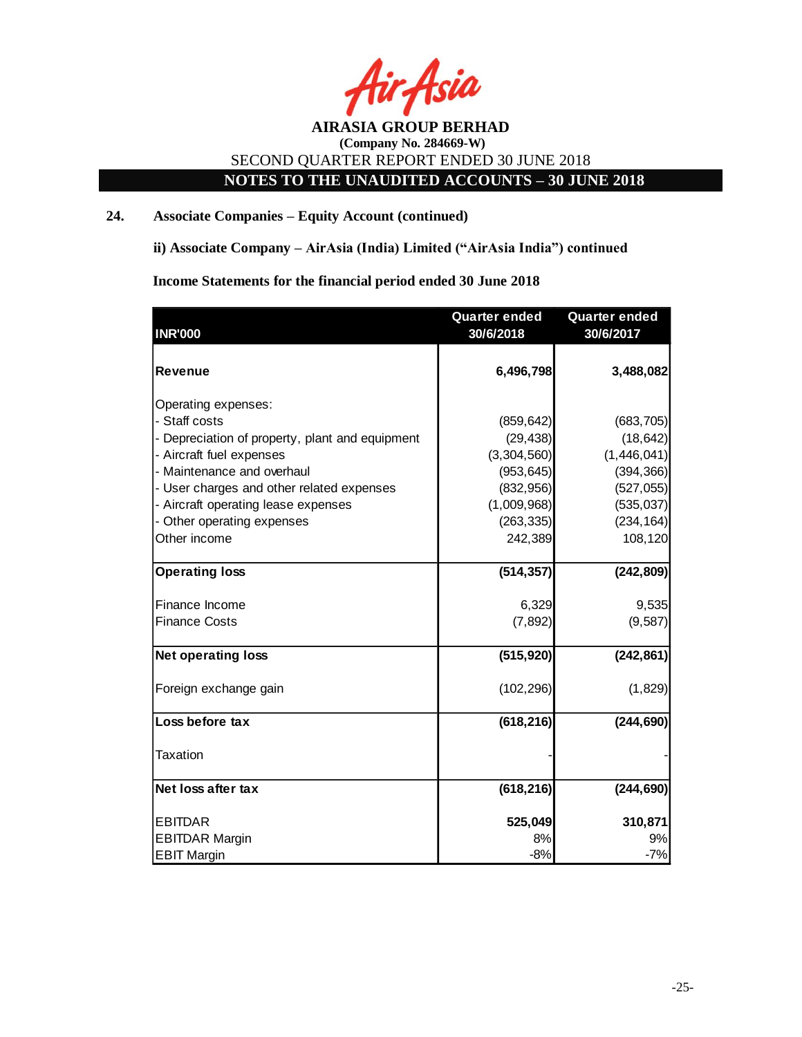

# **NOTES TO THE UNAUDITED ACCOUNTS – 30 JUNE 2018**

## **24. Associate Companies – Equity Account (continued)**

**ii) Associate Company – AirAsia (India) Limited ("AirAsia India") continued** 

**Income Statements for the financial period ended 30 June 2018**

|                                                 | <b>Quarter ended</b> | <b>Quarter ended</b> |
|-------------------------------------------------|----------------------|----------------------|
| <b>INR'000</b>                                  | 30/6/2018            | 30/6/2017            |
|                                                 |                      |                      |
| <b>Revenue</b>                                  | 6,496,798            | 3,488,082            |
| Operating expenses:                             |                      |                      |
| - Staff costs                                   | (859, 642)           | (683, 705)           |
| - Depreciation of property, plant and equipment | (29, 438)            | (18, 642)            |
| - Aircraft fuel expenses                        | (3,304,560)          | (1,446,041)          |
| - Maintenance and overhaul                      | (953, 645)           | (394, 366)           |
| - User charges and other related expenses       | (832,956)            | (527, 055)           |
| - Aircraft operating lease expenses             | (1,009,968)          | (535, 037)           |
| - Other operating expenses                      | (263, 335)           | (234, 164)           |
| Other income                                    | 242,389              | 108,120              |
| <b>Operating loss</b>                           | (514, 357)           | (242, 809)           |
| Finance Income                                  | 6,329                | 9,535                |
| <b>Finance Costs</b>                            | (7, 892)             | (9, 587)             |
| <b>Net operating loss</b>                       | (515, 920)           | (242, 861)           |
| Foreign exchange gain                           | (102, 296)           | (1,829)              |
| Loss before tax                                 | (618, 216)           | (244, 690)           |
| Taxation                                        |                      |                      |
| Net loss after tax                              | (618, 216)           | (244, 690)           |
| <b>EBITDAR</b>                                  | 525,049              | 310,871              |
| <b>EBITDAR Margin</b>                           | 8%                   | 9%                   |
| <b>EBIT Margin</b>                              | $-8%$                | $-7%$                |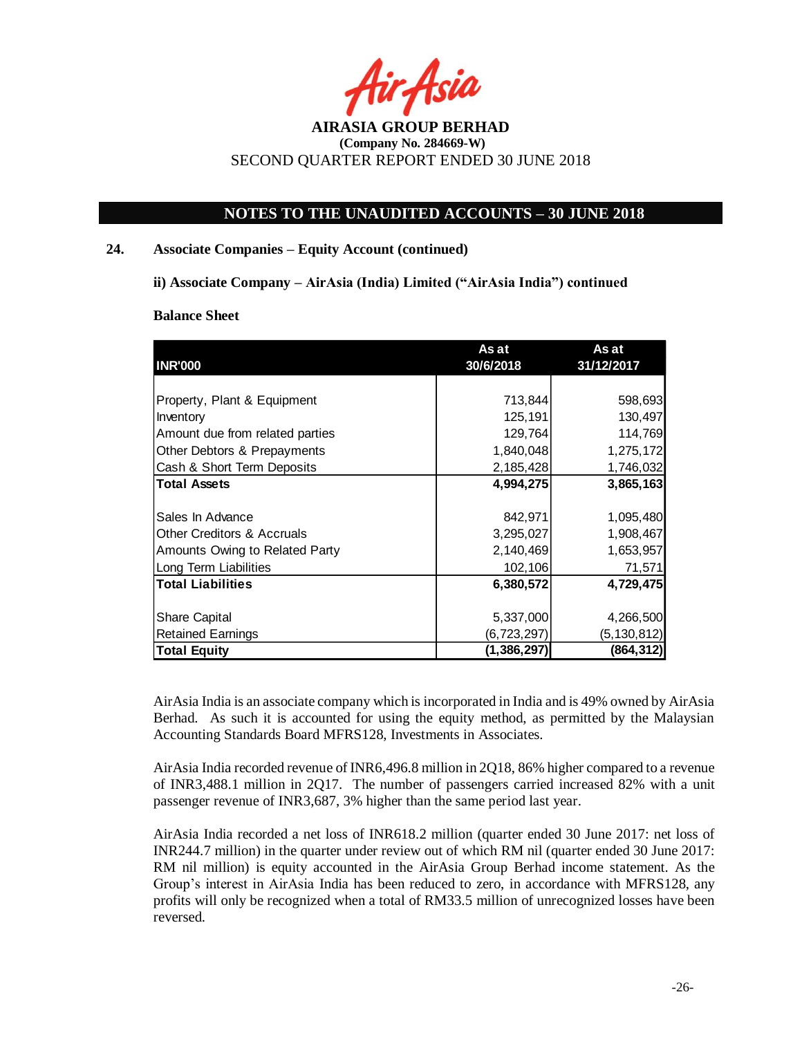

## **NOTES TO THE UNAUDITED ACCOUNTS – 30 JUNE 2018**

#### **24. Associate Companies – Equity Account (continued)**

**ii) Associate Company – AirAsia (India) Limited ("AirAsia India") continued** 

#### **Balance Sheet**

|                                       | As at         | As at         |  |
|---------------------------------------|---------------|---------------|--|
| <b>INR'000</b>                        | 30/6/2018     | 31/12/2017    |  |
|                                       |               |               |  |
| Property, Plant & Equipment           | 713,844       | 598,693       |  |
| Inventory                             | 125,191       | 130,497       |  |
| Amount due from related parties       | 129,764       | 114,769       |  |
| Other Debtors & Prepayments           | 1,840,048     | 1,275,172     |  |
| Cash & Short Term Deposits            | 2,185,428     | 1,746,032     |  |
| <b>Total Assets</b>                   | 4,994,275     | 3,865,163     |  |
|                                       |               |               |  |
| Sales In Advance                      | 842,971       | 1,095,480     |  |
| <b>Other Creditors &amp; Accruals</b> | 3,295,027     | 1,908,467     |  |
| Amounts Owing to Related Party        | 2,140,469     | 1,653,957     |  |
| Long Term Liabilities                 | 102,106       | 71,571        |  |
| <b>Total Liabilities</b>              | 6,380,572     | 4,729,475     |  |
|                                       |               |               |  |
| <b>Share Capital</b>                  | 5,337,000     | 4,266,500     |  |
| <b>Retained Earnings</b>              | (6,723,297)   | (5, 130, 812) |  |
| <b>Total Equity</b>                   | (1, 386, 297) | (864, 312)    |  |

AirAsia India is an associate company which is incorporated in India and is 49% owned by AirAsia Berhad. As such it is accounted for using the equity method, as permitted by the Malaysian Accounting Standards Board MFRS128, Investments in Associates.

AirAsia India recorded revenue of INR6,496.8 million in 2Q18, 86% higher compared to a revenue of INR3,488.1 million in 2Q17. The number of passengers carried increased 82% with a unit passenger revenue of INR3,687, 3% higher than the same period last year.

AirAsia India recorded a net loss of INR618.2 million (quarter ended 30 June 2017: net loss of INR244.7 million) in the quarter under review out of which RM nil (quarter ended 30 June 2017: RM nil million) is equity accounted in the AirAsia Group Berhad income statement. As the Group's interest in AirAsia India has been reduced to zero, in accordance with MFRS128, any profits will only be recognized when a total of RM33.5 million of unrecognized losses have been reversed.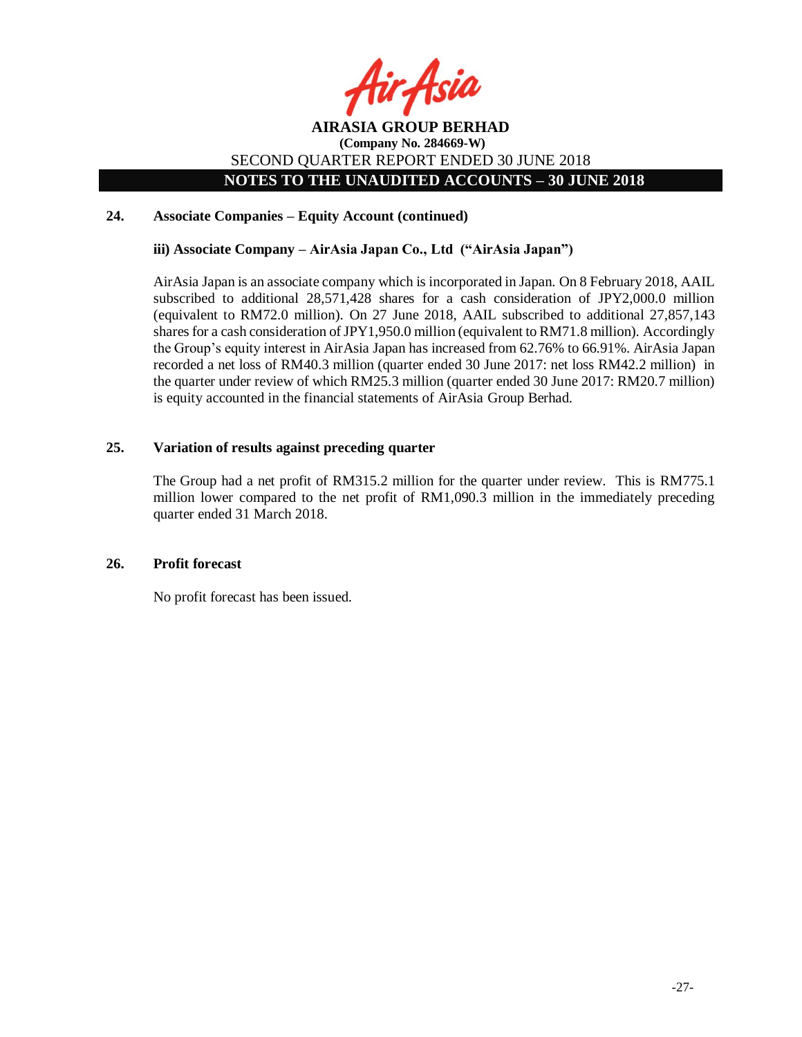

## **NOTES TO THE UNAUDITED ACCOUNTS – 30 JUNE 2018**

## **24. Associate Companies – Equity Account (continued)**

## **iii) Associate Company – AirAsia Japan Co., Ltd ("AirAsia Japan")**

AirAsia Japan is an associate company which is incorporated in Japan. On 8 February 2018, AAIL subscribed to additional 28,571,428 shares for a cash consideration of JPY2,000.0 million (equivalent to RM72.0 million). On 27 June 2018, AAIL subscribed to additional 27,857,143 shares for a cash consideration of JPY1,950.0 million (equivalent to RM71.8 million). Accordingly the Group's equity interest in AirAsia Japan has increased from 62.76% to 66.91%. AirAsia Japan recorded a net loss of RM40.3 million (quarter ended 30 June 2017: net loss RM42.2 million) in the quarter under review of which RM25.3 million (quarter ended 30 June 2017: RM20.7 million) is equity accounted in the financial statements of AirAsia Group Berhad.

#### **25. Variation of results against preceding quarter**

The Group had a net profit of RM315.2 million for the quarter under review. This is RM775.1 million lower compared to the net profit of RM1,090.3 million in the immediately preceding quarter ended 31 March 2018.

#### **26. Profit forecast**

No profit forecast has been issued.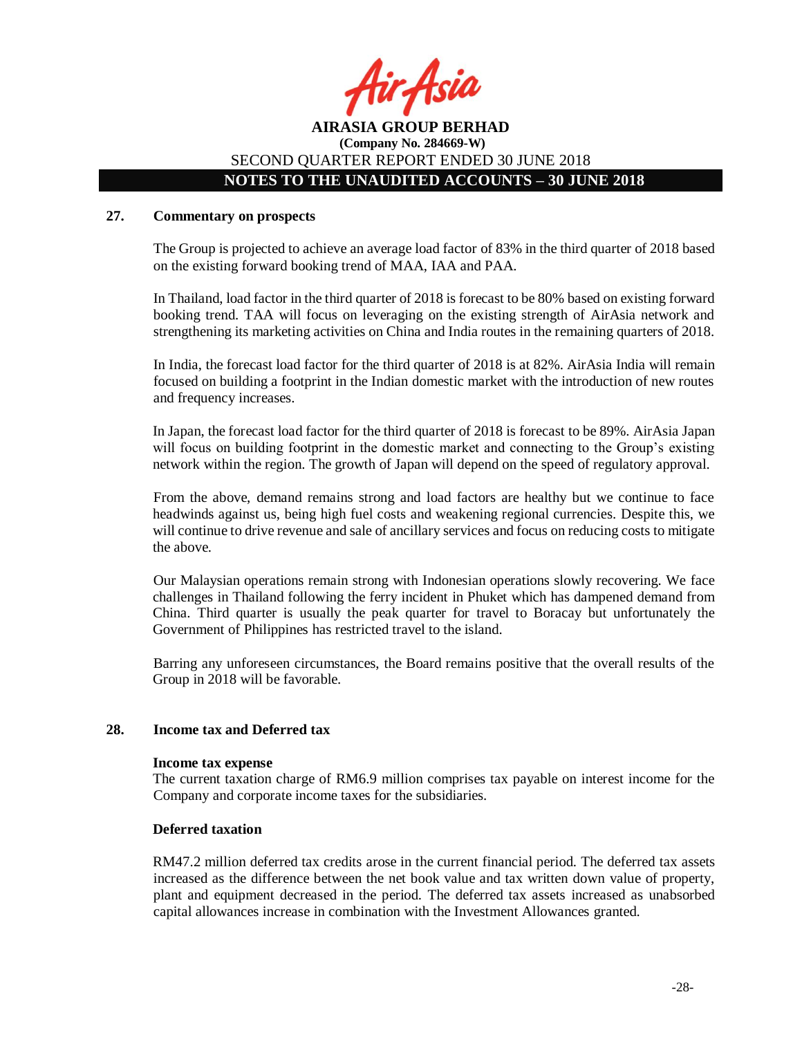

# **NOTES TO THE UNAUDITED ACCOUNTS – 30 JUNE 2018**

## **27. Commentary on prospects**

The Group is projected to achieve an average load factor of 83% in the third quarter of 2018 based on the existing forward booking trend of MAA, IAA and PAA.

In Thailand, load factor in the third quarter of 2018 is forecast to be 80% based on existing forward booking trend. TAA will focus on leveraging on the existing strength of AirAsia network and strengthening its marketing activities on China and India routes in the remaining quarters of 2018.

In India, the forecast load factor for the third quarter of 2018 is at 82%. AirAsia India will remain focused on building a footprint in the Indian domestic market with the introduction of new routes and frequency increases.

In Japan, the forecast load factor for the third quarter of 2018 is forecast to be 89%. AirAsia Japan will focus on building footprint in the domestic market and connecting to the Group's existing network within the region. The growth of Japan will depend on the speed of regulatory approval.

From the above, demand remains strong and load factors are healthy but we continue to face headwinds against us, being high fuel costs and weakening regional currencies. Despite this, we will continue to drive revenue and sale of ancillary services and focus on reducing costs to mitigate the above.

Our Malaysian operations remain strong with Indonesian operations slowly recovering. We face challenges in Thailand following the ferry incident in Phuket which has dampened demand from China. Third quarter is usually the peak quarter for travel to Boracay but unfortunately the Government of Philippines has restricted travel to the island.

Barring any unforeseen circumstances, the Board remains positive that the overall results of the Group in 2018 will be favorable.

#### **28. Income tax and Deferred tax**

#### **Income tax expense**

The current taxation charge of RM6.9 million comprises tax payable on interest income for the Company and corporate income taxes for the subsidiaries.

#### **Deferred taxation**

RM47.2 million deferred tax credits arose in the current financial period. The deferred tax assets increased as the difference between the net book value and tax written down value of property, plant and equipment decreased in the period. The deferred tax assets increased as unabsorbed capital allowances increase in combination with the Investment Allowances granted.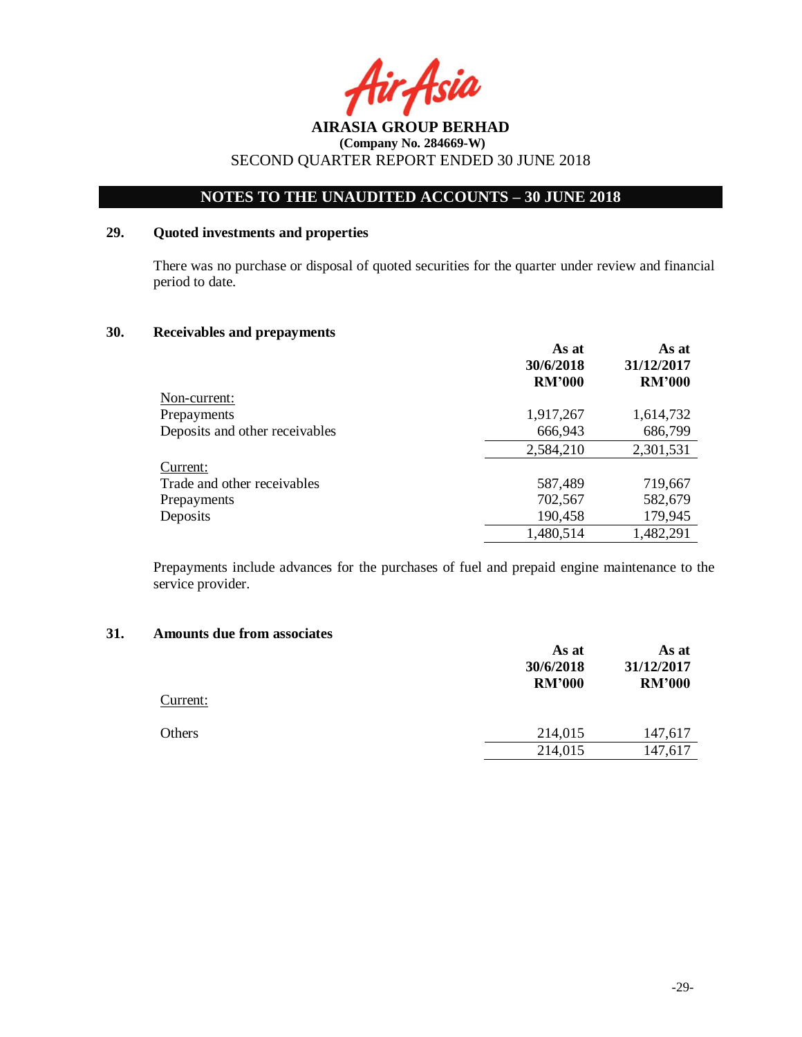

# **NOTES TO THE UNAUDITED ACCOUNTS – 30 JUNE 2018**

## **29. Quoted investments and properties**

There was no purchase or disposal of quoted securities for the quarter under review and financial period to date.

#### **30. Receivables and prepayments**

|                                | As at<br>30/6/2018 | As at<br>31/12/2017 |  |
|--------------------------------|--------------------|---------------------|--|
|                                | <b>RM'000</b>      | <b>RM'000</b>       |  |
| Non-current:                   |                    |                     |  |
| Prepayments                    | 1,917,267          | 1,614,732           |  |
| Deposits and other receivables | 666,943            | 686,799             |  |
|                                | 2,584,210          | 2,301,531           |  |
| Current:                       |                    |                     |  |
| Trade and other receivables    | 587,489            | 719,667             |  |
| Prepayments                    | 702,567            | 582,679             |  |
| Deposits                       | 190,458            | 179,945             |  |
|                                | 1,480,514          | 1,482,291           |  |

Prepayments include advances for the purchases of fuel and prepaid engine maintenance to the service provider.

#### **31. Amounts due from associates**

|          | As at<br>30/6/2018<br><b>RM'000</b> | As at<br>31/12/2017<br><b>RM'000</b> |
|----------|-------------------------------------|--------------------------------------|
| Current: |                                     |                                      |
| Others   | 214,015                             | 147,617                              |
|          | 214,015                             | 147,617                              |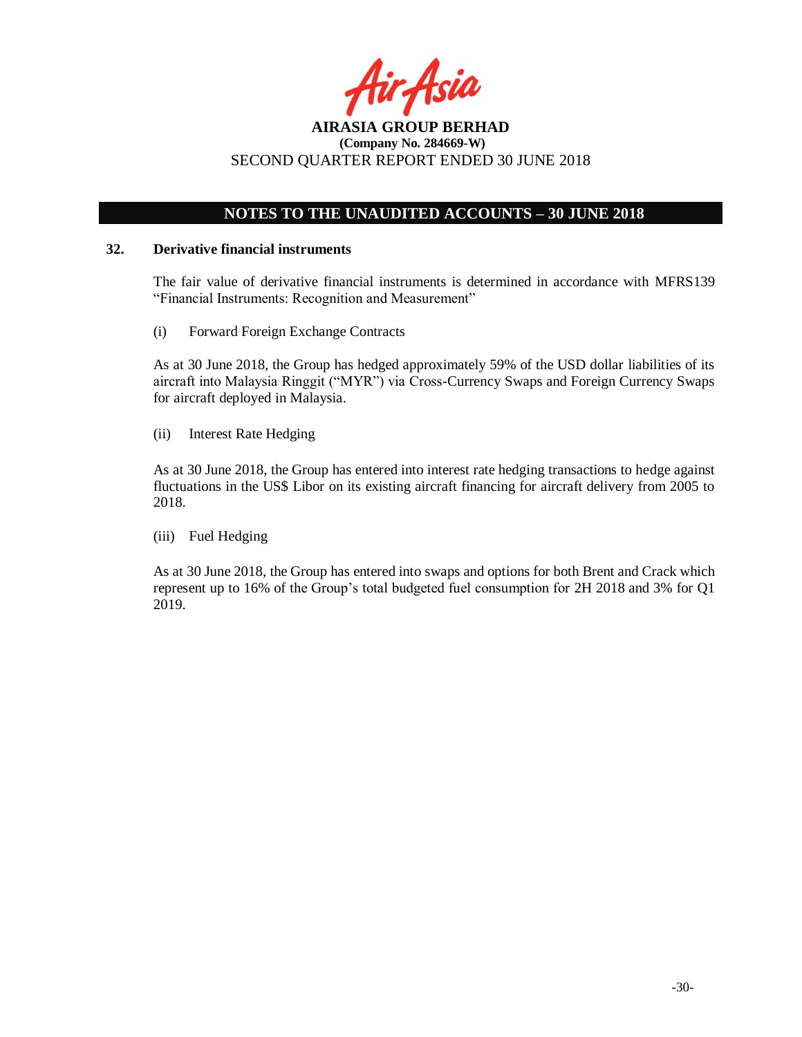

# **NOTES TO THE UNAUDITED ACCOUNTS – 30 JUNE 2018**

#### **32. Derivative financial instruments**

The fair value of derivative financial instruments is determined in accordance with MFRS139 "Financial Instruments: Recognition and Measurement"

(i) Forward Foreign Exchange Contracts

As at 30 June 2018, the Group has hedged approximately 59% of the USD dollar liabilities of its aircraft into Malaysia Ringgit ("MYR") via Cross-Currency Swaps and Foreign Currency Swaps for aircraft deployed in Malaysia.

(ii) Interest Rate Hedging

As at 30 June 2018, the Group has entered into interest rate hedging transactions to hedge against fluctuations in the US\$ Libor on its existing aircraft financing for aircraft delivery from 2005 to 2018.

(iii) Fuel Hedging

As at 30 June 2018, the Group has entered into swaps and options for both Brent and Crack which represent up to 16% of the Group's total budgeted fuel consumption for 2H 2018 and 3% for Q1 2019.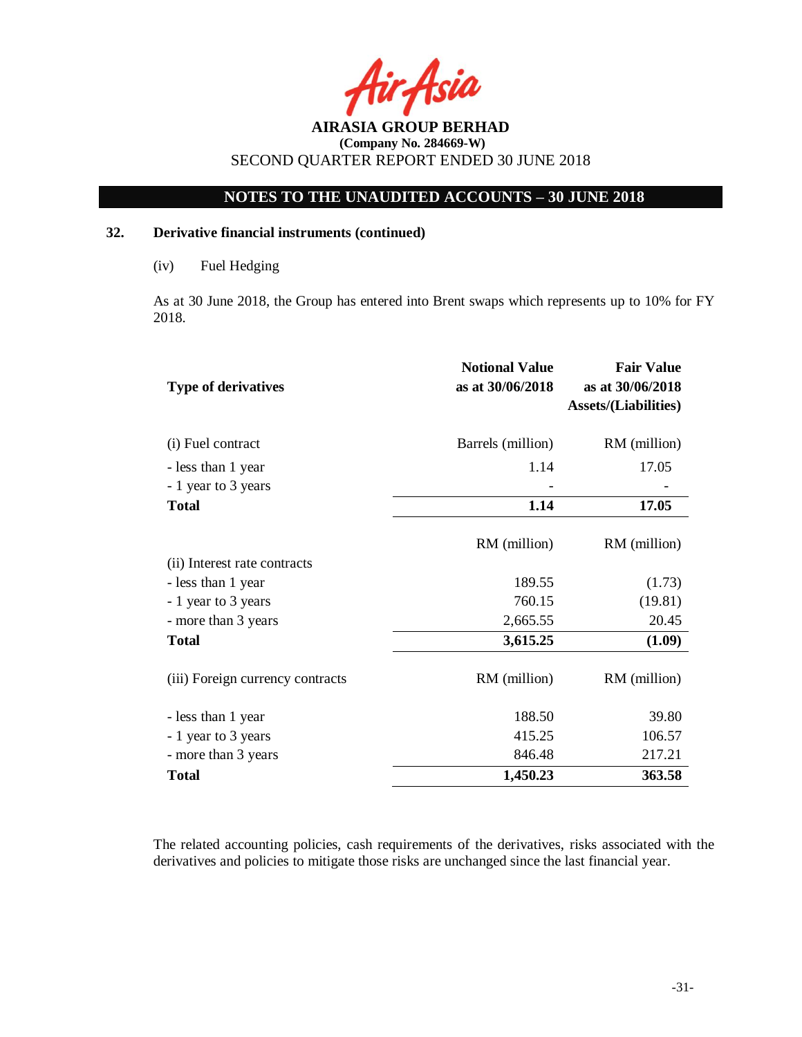

# **NOTES TO THE UNAUDITED ACCOUNTS – 30 JUNE 2018**

## **32. Derivative financial instruments (continued)**

As at 30 June 2018, the Group has entered into Brent swaps which represents up to 10% for FY 2018.

| <b>Type of derivatives</b>       | <b>Notional Value</b><br>as at 30/06/2018 | <b>Fair Value</b><br>as at 30/06/2018<br><b>Assets/(Liabilities)</b> |
|----------------------------------|-------------------------------------------|----------------------------------------------------------------------|
| (i) Fuel contract                | Barrels (million)                         | RM (million)                                                         |
| - less than 1 year               | 1.14                                      | 17.05                                                                |
| - 1 year to 3 years              |                                           |                                                                      |
| <b>Total</b>                     | 1.14                                      | 17.05                                                                |
|                                  | RM (million)                              | RM (million)                                                         |
| (ii) Interest rate contracts     |                                           |                                                                      |
| - less than 1 year               | 189.55                                    | (1.73)                                                               |
| - 1 year to 3 years              | 760.15                                    | (19.81)                                                              |
| - more than 3 years              | 2,665.55                                  | 20.45                                                                |
| <b>Total</b>                     | 3,615.25                                  | (1.09)                                                               |
| (iii) Foreign currency contracts | RM (million)                              | RM (million)                                                         |
| - less than 1 year               | 188.50                                    | 39.80                                                                |
| - 1 year to 3 years              | 415.25                                    | 106.57                                                               |
| - more than 3 years              | 846.48                                    | 217.21                                                               |
| <b>Total</b>                     | 1,450.23                                  | 363.58                                                               |

The related accounting policies, cash requirements of the derivatives, risks associated with the derivatives and policies to mitigate those risks are unchanged since the last financial year.

<sup>(</sup>iv) Fuel Hedging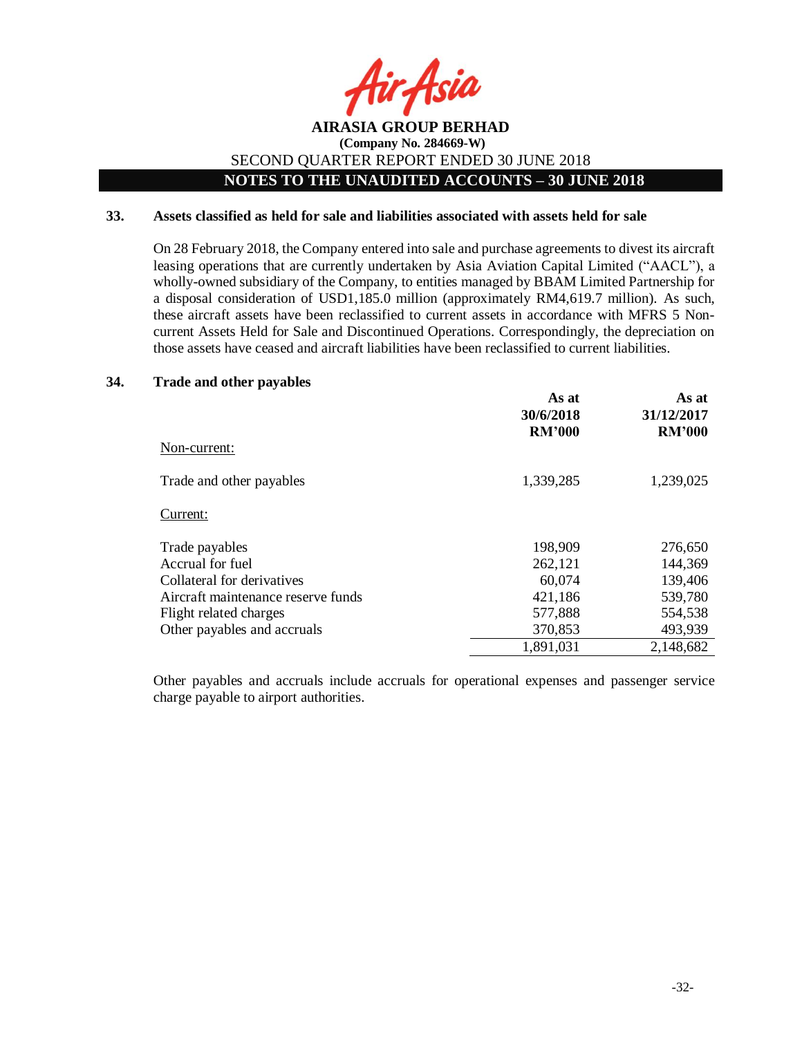

## **AIRASIA GROUP BERHAD (Company No. 284669-W)** SECOND QUARTER REPORT ENDED 30 JUNE 2018 **NOTES TO THE UNAUDITED ACCOUNTS – 30 JUNE 2018**

#### **33. Assets classified as held for sale and liabilities associated with assets held for sale**

On 28 February 2018, the Company entered into sale and purchase agreements to divest its aircraft leasing operations that are currently undertaken by Asia Aviation Capital Limited ("AACL"), a wholly-owned subsidiary of the Company, to entities managed by BBAM Limited Partnership for a disposal consideration of USD1,185.0 million (approximately RM4,619.7 million). As such, these aircraft assets have been reclassified to current assets in accordance with MFRS 5 Noncurrent Assets Held for Sale and Discontinued Operations. Correspondingly, the depreciation on those assets have ceased and aircraft liabilities have been reclassified to current liabilities.

#### **34. Trade and other payables**

|                                    | As at<br>30/6/2018<br><b>RM'000</b> | As at<br>31/12/2017<br><b>RM'000</b> |
|------------------------------------|-------------------------------------|--------------------------------------|
| Non-current:                       |                                     |                                      |
| Trade and other payables           | 1,339,285                           | 1,239,025                            |
| Current:                           |                                     |                                      |
| Trade payables                     | 198,909                             | 276,650                              |
| Accrual for fuel                   | 262,121                             | 144,369                              |
| Collateral for derivatives         | 60,074                              | 139,406                              |
| Aircraft maintenance reserve funds | 421,186                             | 539,780                              |
| Flight related charges             | 577,888                             | 554,538                              |
| Other payables and accruals        | 370,853                             | 493,939                              |
|                                    | 1,891,031                           | 2,148,682                            |

Other payables and accruals include accruals for operational expenses and passenger service charge payable to airport authorities.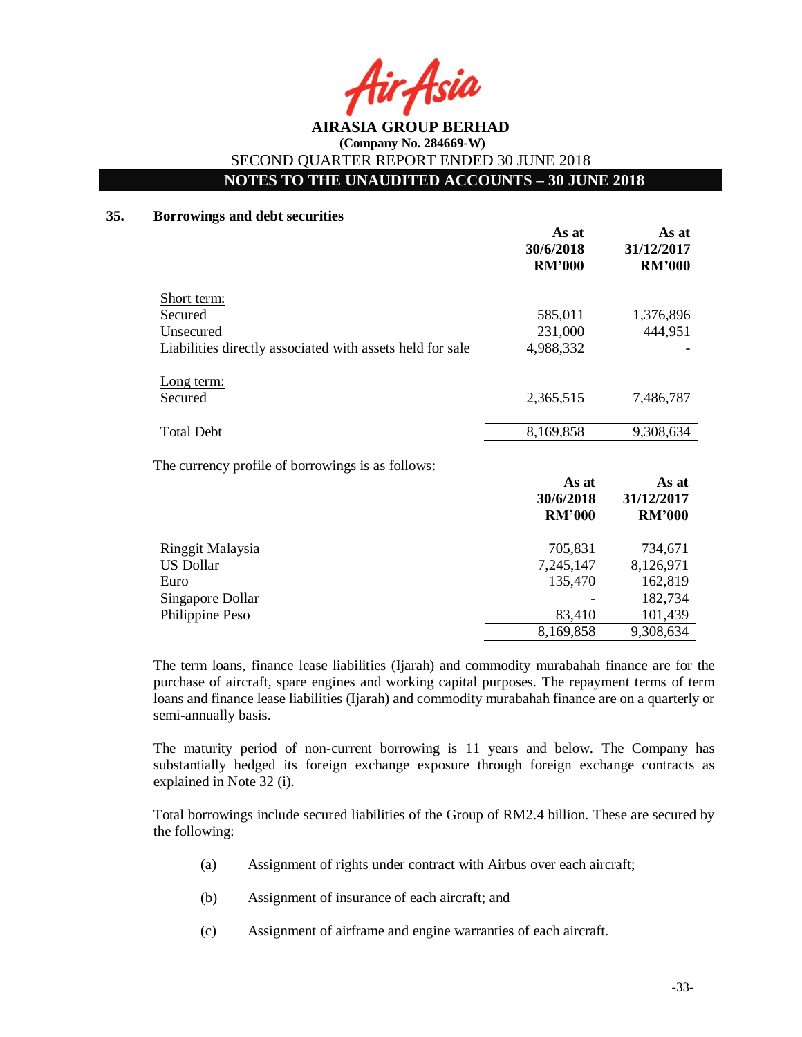ir Asia

# **NOTES TO THE UNAUDITED ACCOUNTS – 30 JUNE 2018**

#### **35. Borrowings and debt securities**

|                                                           | As at<br>30/6/2018<br><b>RM'000</b> | As at<br>31/12/2017<br><b>RM'000</b> |
|-----------------------------------------------------------|-------------------------------------|--------------------------------------|
| Short term:                                               |                                     |                                      |
| Secured                                                   | 585,011                             | 1,376,896                            |
| Unsecured                                                 | 231,000                             | 444,951                              |
| Liabilities directly associated with assets held for sale | 4,988,332                           |                                      |
| Long term:                                                |                                     |                                      |
| Secured                                                   | 2,365,515                           | 7,486,787                            |
| <b>Total Debt</b>                                         | 8,169,858                           | 9,308,634                            |
| The currency profile of borrowings is as follows:         |                                     |                                      |
|                                                           | As at                               | As at                                |
|                                                           | 30/6/2018                           | 31/12/2017                           |
|                                                           | <b>RM'000</b>                       | <b>RM'000</b>                        |
| Ringgit Malaysia                                          | 705,831                             | 734,671                              |
| <b>US Dollar</b>                                          | 7,245,147                           | 8,126,971                            |
| Euro                                                      | 135,470                             | 162,819                              |
| Singapore Dollar                                          |                                     | 182,734                              |
| Philippine Peso                                           | 83,410                              | 101,439                              |
|                                                           | 8,169,858                           | 9,308,634                            |

The term loans, finance lease liabilities (Ijarah) and commodity murabahah finance are for the purchase of aircraft, spare engines and working capital purposes. The repayment terms of term loans and finance lease liabilities (Ijarah) and commodity murabahah finance are on a quarterly or semi-annually basis.

The maturity period of non-current borrowing is 11 years and below. The Company has substantially hedged its foreign exchange exposure through foreign exchange contracts as explained in Note 32 (i).

Total borrowings include secured liabilities of the Group of RM2.4 billion. These are secured by the following:

- (a) Assignment of rights under contract with Airbus over each aircraft;
- (b) Assignment of insurance of each aircraft; and
- (c) Assignment of airframe and engine warranties of each aircraft.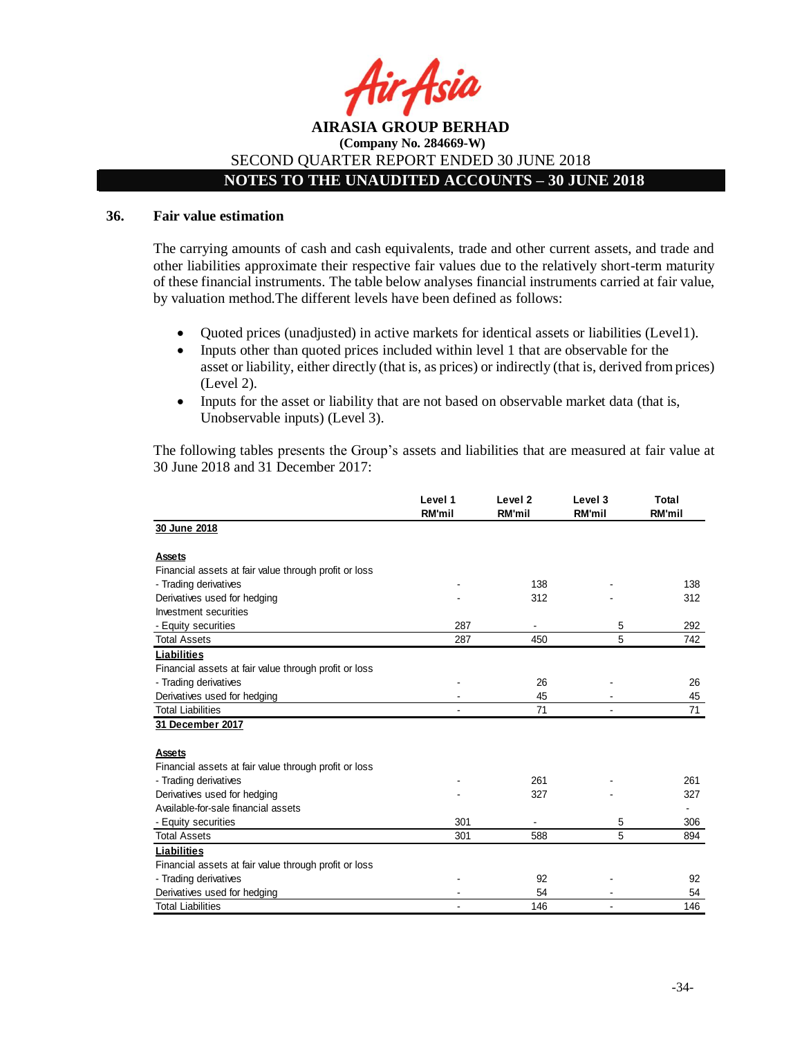

## **NOTES TO THE UNAUDITED ACCOUNTS – 30 JUNE 2018**

#### **36. Fair value estimation**

The carrying amounts of cash and cash equivalents, trade and other current assets, and trade and other liabilities approximate their respective fair values due to the relatively short-term maturity of these financial instruments. The table below analyses financial instruments carried at fair value, by valuation method.The different levels have been defined as follows:

- Quoted prices (unadjusted) in active markets for identical assets or liabilities (Level1).
- Inputs other than quoted prices included within level 1 that are observable for the asset or liability, either directly (that is, as prices) or indirectly (that is, derived from prices) (Level 2).
- Inputs for the asset or liability that are not based on observable market data (that is, Unobservable inputs) (Level 3).

The following tables presents the Group's assets and liabilities that are measured at fair value at 30 June 2018 and 31 December 2017:

|                                                       | Level 1<br><b>RM'mil</b> | Level 2<br><b>RM'mil</b> | Level 3<br><b>RM'mil</b> | Total<br><b>RM'mil</b> |
|-------------------------------------------------------|--------------------------|--------------------------|--------------------------|------------------------|
| 30 June 2018                                          |                          |                          |                          |                        |
| Assets                                                |                          |                          |                          |                        |
| Financial assets at fair value through profit or loss |                          |                          |                          |                        |
| - Trading derivatives                                 |                          | 138                      |                          | 138                    |
| Derivatives used for hedging                          |                          | 312                      |                          | 312                    |
| Investment securities                                 |                          |                          |                          |                        |
| - Equity securities                                   | 287                      |                          | 5                        | 292                    |
| <b>Total Assets</b>                                   | 287                      | 450                      | 5                        | 742                    |
| <b>Liabilities</b>                                    |                          |                          |                          |                        |
| Financial assets at fair value through profit or loss |                          |                          |                          |                        |
| - Trading derivatives                                 |                          | 26                       |                          | 26                     |
| Derivatives used for hedging                          |                          | 45                       |                          | 45                     |
| <b>Total Liabilities</b>                              |                          | 71                       |                          | 71                     |
| 31 December 2017                                      |                          |                          |                          |                        |
|                                                       |                          |                          |                          |                        |
| Assets                                                |                          |                          |                          |                        |
| Financial assets at fair value through profit or loss |                          |                          |                          |                        |
| - Trading derivatives                                 |                          | 261                      |                          | 261                    |
| Derivatives used for hedging                          |                          | 327                      |                          | 327                    |
| Available-for-sale financial assets                   |                          |                          |                          |                        |
| - Equity securities                                   | 301                      |                          | 5                        | 306                    |
| <b>Total Assets</b>                                   | 301                      | 588                      | 5                        | 894                    |
| Liabilities                                           |                          |                          |                          |                        |
| Financial assets at fair value through profit or loss |                          |                          |                          |                        |
| - Trading derivatives                                 |                          | 92                       |                          | 92                     |
| Derivatives used for hedging                          |                          | 54                       |                          | 54                     |
| <b>Total Liabilities</b>                              |                          | 146                      |                          | 146                    |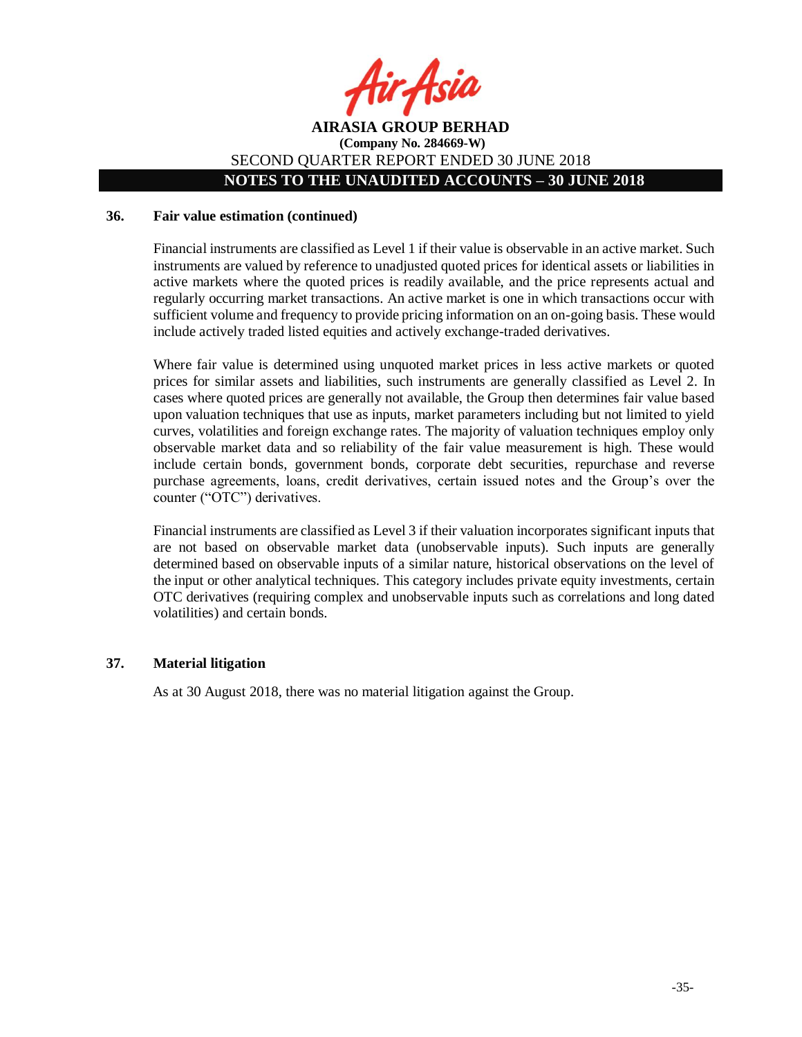

## **AIRASIA GROUP BERHAD (Company No. 284669-W)** SECOND QUARTER REPORT ENDED 30 JUNE 2018 **NOTES TO THE UNAUDITED ACCOUNTS – 30 JUNE 2018**

#### **36. Fair value estimation (continued)**

Financial instruments are classified as Level 1 if their value is observable in an active market. Such instruments are valued by reference to unadjusted quoted prices for identical assets or liabilities in active markets where the quoted prices is readily available, and the price represents actual and regularly occurring market transactions. An active market is one in which transactions occur with sufficient volume and frequency to provide pricing information on an on-going basis. These would include actively traded listed equities and actively exchange-traded derivatives.

Where fair value is determined using unquoted market prices in less active markets or quoted prices for similar assets and liabilities, such instruments are generally classified as Level 2. In cases where quoted prices are generally not available, the Group then determines fair value based upon valuation techniques that use as inputs, market parameters including but not limited to yield curves, volatilities and foreign exchange rates. The majority of valuation techniques employ only observable market data and so reliability of the fair value measurement is high. These would include certain bonds, government bonds, corporate debt securities, repurchase and reverse purchase agreements, loans, credit derivatives, certain issued notes and the Group's over the counter ("OTC") derivatives.

Financial instruments are classified as Level 3 if their valuation incorporates significant inputs that are not based on observable market data (unobservable inputs). Such inputs are generally determined based on observable inputs of a similar nature, historical observations on the level of the input or other analytical techniques. This category includes private equity investments, certain OTC derivatives (requiring complex and unobservable inputs such as correlations and long dated volatilities) and certain bonds.

#### **37. Material litigation**

As at 30 August 2018, there was no material litigation against the Group.